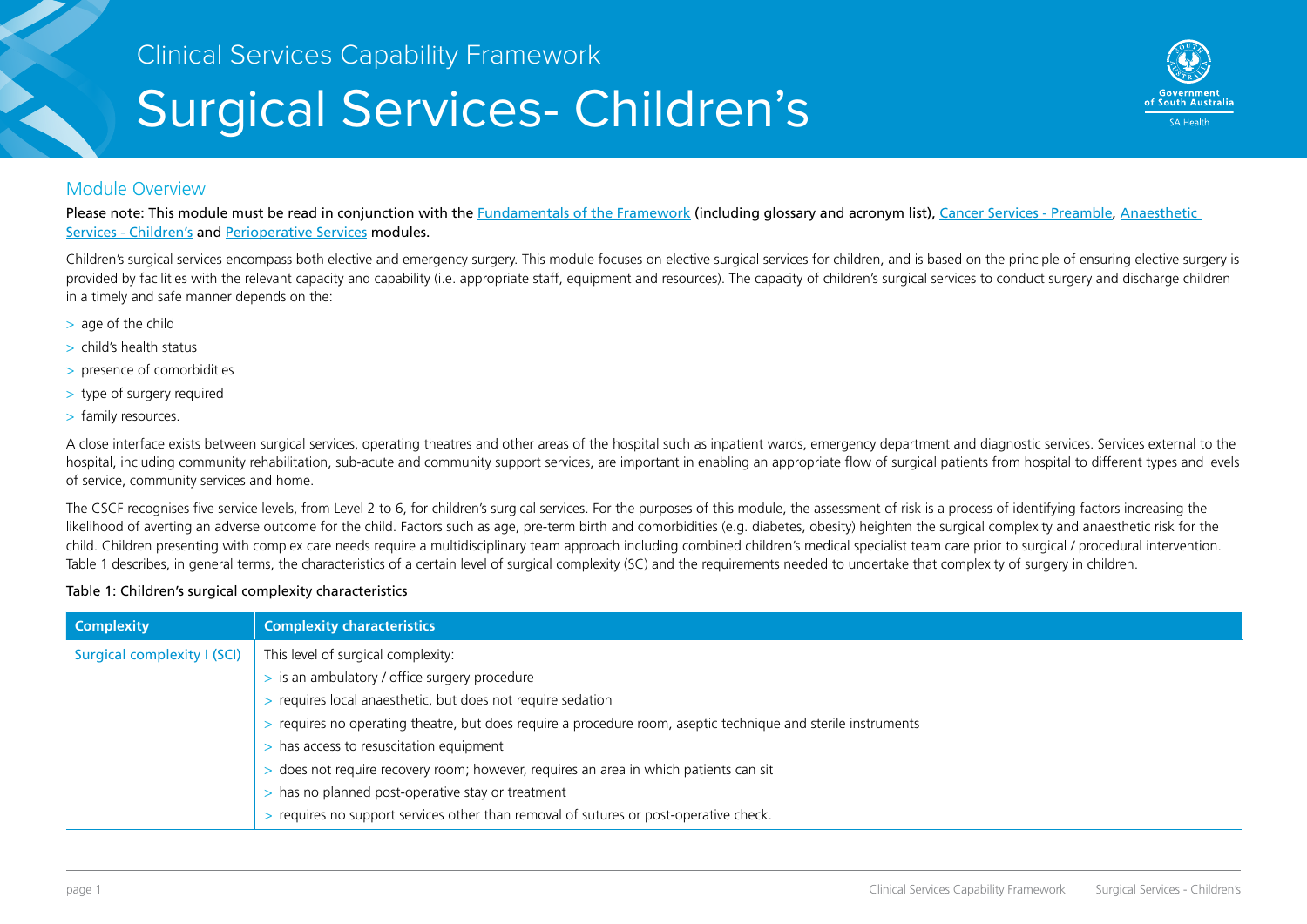# Surgical Services- Children's



#### Module Overview

Please note: This module must be read in conjunction with the [Fundamentals of the Framework](http://sahealth.sa.gov.au/wps/wcm/connect/public+content/sa+health+internet/resources/Clinical+Services+Capability+Framework+-+Fundamentals+of+the+Framework) (including glossary and acronym list), [Cancer Services - Preamble,](http://sahealth.sa.gov.au/wps/wcm/connect/public+content/sa+health+internet/resources/Clinical+Services+Capability+Framework+-+Cancer+Services+-+Preamble) Anaesthetic [Services - Children's](http://sahealth.sa.gov.au/wps/wcm/connect/public+content/sa+health+internet/resources/Clinical+Services+Capability+Framework+-+Anaesthetic+Services+-+Childrens) and [Perioperative Services](http://sahealth.sa.gov.au/wps/wcm/connect/public+content/sa+health+internet/resources/Clinical+Services+Capability+Framework+-+Perioperative+Services) modules.

Children's surgical services encompass both elective and emergency surgery. This module focuses on elective surgical services for children, and is based on the principle of ensuring elective surgery is provided by facilities with the relevant capacity and capability (i.e. appropriate staff, equipment and resources). The capacity of children's surgical services to conduct surgery and discharge children in a timely and safe manner depends on the:

- > age of the child
- > child's health status
- > presence of comorbidities
- > type of surgery required
- > family resources.

A close interface exists between surgical services, operating theatres and other areas of the hospital such as inpatient wards, emergency department and diagnostic services. Services external to the hospital, including community rehabilitation, sub-acute and community support services, are important in enabling an appropriate flow of surgical patients from hospital to different types and levels of service, community services and home.

The CSCF recognises five service levels, from Level 2 to 6, for children's surgical services. For the purposes of this module, the assessment of risk is a process of identifying factors increasing the likelihood of averting an adverse outcome for the child. Factors such as age, pre-term birth and comorbidities (e.g. diabetes, obesity) heighten the surgical complexity and anaesthetic risk for the child. Children presenting with complex care needs require a multidisciplinary team approach including combined children's medical specialist team care prior to surgical / procedural intervention. Table 1 describes, in general terms, the characteristics of a certain level of surgical complexity (SC) and the requirements needed to undertake that complexity of surgery in children.

#### Table 1: Children's surgical complexity characteristics

| <b>Complexity</b>           | <b>Complexity characteristics</b>                                                                             |
|-----------------------------|---------------------------------------------------------------------------------------------------------------|
| Surgical complexity I (SCI) | This level of surgical complexity:                                                                            |
|                             | > is an ambulatory / office surgery procedure                                                                 |
|                             | requires local anaesthetic, but does not require sedation                                                     |
|                             | > requires no operating theatre, but does require a procedure room, aseptic technique and sterile instruments |
|                             | has access to resuscitation equipment                                                                         |
|                             | does not require recovery room; however, requires an area in which patients can sit                           |
|                             | has no planned post-operative stay or treatment                                                               |
|                             | requires no support services other than removal of sutures or post-operative check.                           |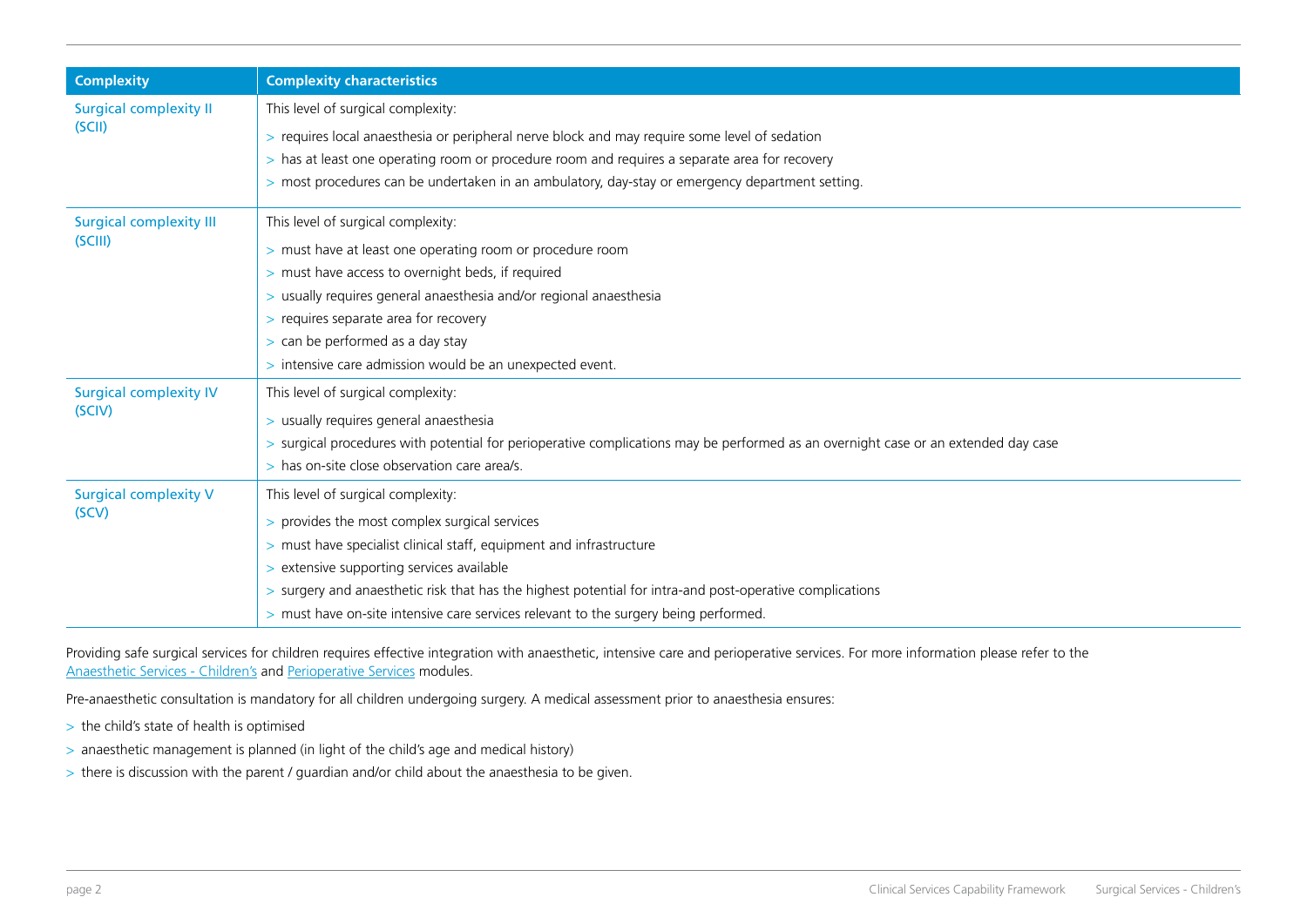| <b>Complexity</b>              | <b>Complexity characteristics</b>                                                                                                  |  |  |  |  |  |  |
|--------------------------------|------------------------------------------------------------------------------------------------------------------------------------|--|--|--|--|--|--|
| <b>Surgical complexity II</b>  | This level of surgical complexity:                                                                                                 |  |  |  |  |  |  |
| (SCII)                         | > requires local anaesthesia or peripheral nerve block and may require some level of sedation                                      |  |  |  |  |  |  |
|                                | > has at least one operating room or procedure room and requires a separate area for recovery                                      |  |  |  |  |  |  |
|                                | > most procedures can be undertaken in an ambulatory, day-stay or emergency department setting.                                    |  |  |  |  |  |  |
| <b>Surgical complexity III</b> | This level of surgical complexity:                                                                                                 |  |  |  |  |  |  |
| (SCIII)                        | > must have at least one operating room or procedure room                                                                          |  |  |  |  |  |  |
|                                | > must have access to overnight beds, if required                                                                                  |  |  |  |  |  |  |
|                                | > usually requires general anaesthesia and/or regional anaesthesia                                                                 |  |  |  |  |  |  |
|                                | > requires separate area for recovery                                                                                              |  |  |  |  |  |  |
|                                | > can be performed as a day stay                                                                                                   |  |  |  |  |  |  |
|                                | > intensive care admission would be an unexpected event.                                                                           |  |  |  |  |  |  |
| <b>Surgical complexity IV</b>  | This level of surgical complexity:                                                                                                 |  |  |  |  |  |  |
| (SCIV)                         | > usually requires general anaesthesia                                                                                             |  |  |  |  |  |  |
|                                | > surgical procedures with potential for perioperative complications may be performed as an overnight case or an extended day case |  |  |  |  |  |  |
|                                | > has on-site close observation care area/s.                                                                                       |  |  |  |  |  |  |
| <b>Surgical complexity V</b>   | This level of surgical complexity:                                                                                                 |  |  |  |  |  |  |
| (SCV)                          | > provides the most complex surgical services                                                                                      |  |  |  |  |  |  |
|                                | > must have specialist clinical staff, equipment and infrastructure                                                                |  |  |  |  |  |  |
|                                | > extensive supporting services available                                                                                          |  |  |  |  |  |  |
|                                | > surgery and anaesthetic risk that has the highest potential for intra-and post-operative complications                           |  |  |  |  |  |  |
|                                | > must have on-site intensive care services relevant to the surgery being performed.                                               |  |  |  |  |  |  |

Providing safe surgical services for children requires effective integration with anaesthetic, intensive care and perioperative services. For more information please refer to the [Anaesthetic Services - Children's](http://sahealth.sa.gov.au/wps/wcm/connect/public+content/sa+health+internet/resources/Clinical+Services+Capability+Framework+-+Anaesthetic+Services+-+Childrens) and [Perioperative Services](http://sahealth.sa.gov.au/wps/wcm/connect/public+content/sa+health+internet/resources/Clinical+Services+Capability+Framework+-+Perioperative+Services) modules.

Pre-anaesthetic consultation is mandatory for all children undergoing surgery. A medical assessment prior to anaesthesia ensures:

- > the child's state of health is optimised
- > anaesthetic management is planned (in light of the child's age and medical history)
- > there is discussion with the parent / guardian and/or child about the anaesthesia to be given.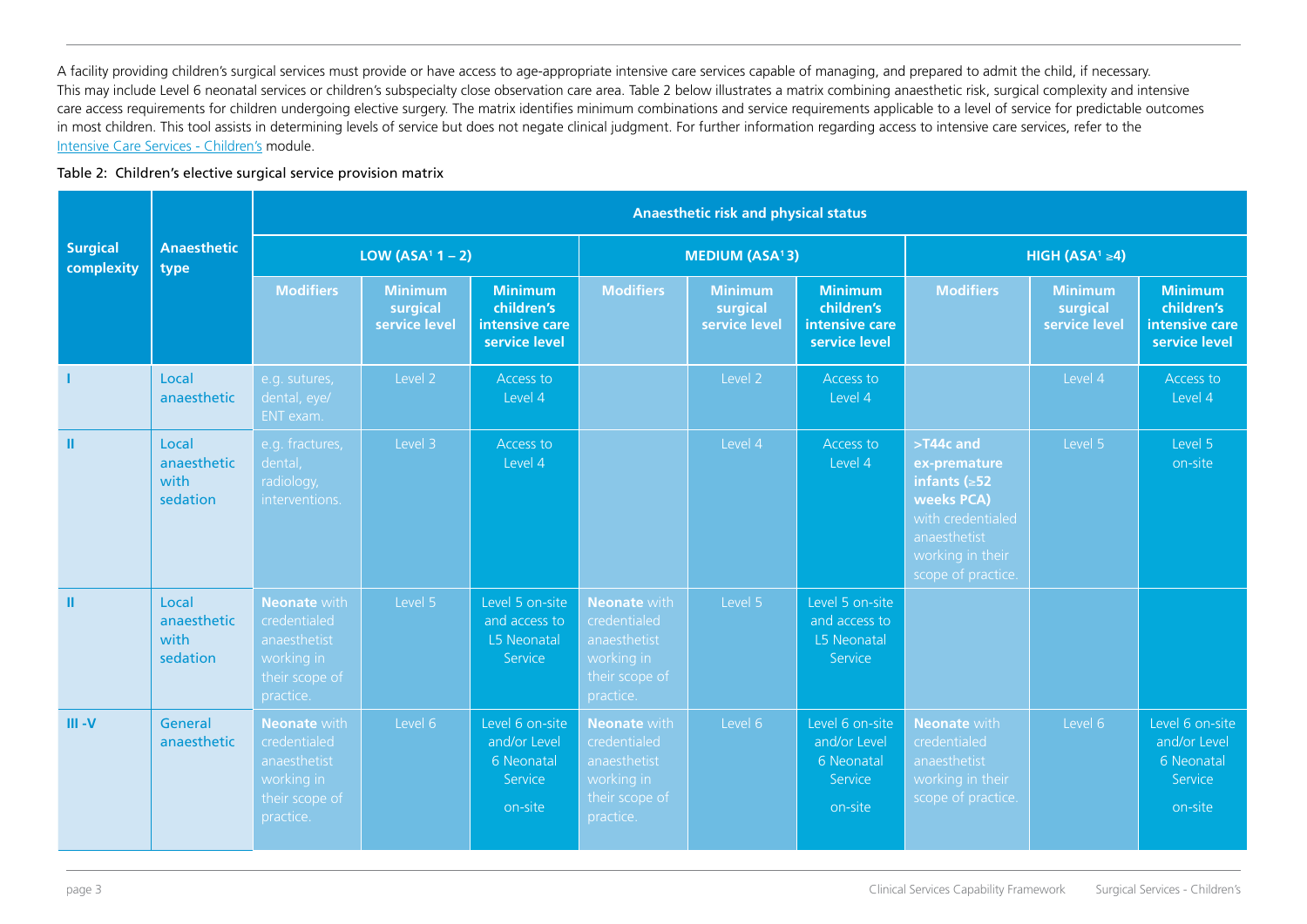A facility providing children's surgical services must provide or have access to age-appropriate intensive care services capable of managing, and prepared to admit the child, if necessary. This may include Level 6 neonatal services or children's subspecialty close observation care area. Table 2 below illustrates a matrix combining anaesthetic risk, surgical complexity and intensive care access requirements for children undergoing elective surgery. The matrix identifies minimum combinations and service requirements applicable to a level of service for predictable outcomes in most children. This tool assists in determining levels of service but does not negate clinical judgment. For further information regarding access to intensive care services, refer to the [Intensive Care Services - Children's](http://sahealth.sa.gov.au/wps/wcm/connect/public+content/sa+health+internet/resources/Clinical+Services+Capability+Framework+-+Intensive+Care+Services+-+Childrens) module.

#### Table 2: Children's elective surgical service provision matrix

|                               |                                          |                                                                                                  | <b>Anaesthetic risk and physical status</b> |                                                                     |                                                                                                  |                                             |                                                                     |                                                                                                                                              |                                             |                                                                     |  |  |  |
|-------------------------------|------------------------------------------|--------------------------------------------------------------------------------------------------|---------------------------------------------|---------------------------------------------------------------------|--------------------------------------------------------------------------------------------------|---------------------------------------------|---------------------------------------------------------------------|----------------------------------------------------------------------------------------------------------------------------------------------|---------------------------------------------|---------------------------------------------------------------------|--|--|--|
| <b>Surgical</b><br>complexity | <b>Anaesthetic</b><br>type               |                                                                                                  | LOW (ASA <sup>1</sup> $1 - 2$ )             |                                                                     |                                                                                                  | <b>MEDIUM (ASA<sup>1</sup>3)</b>            |                                                                     |                                                                                                                                              | HIGH (ASA <sup>1</sup> $\geq$ 4)            |                                                                     |  |  |  |
|                               |                                          | <b>Modifiers</b>                                                                                 | <b>Minimum</b><br>surgical<br>service level | <b>Minimum</b><br>children's<br>intensive care<br>service level     | <b>Modifiers</b>                                                                                 | <b>Minimum</b><br>surgical<br>service level | <b>Minimum</b><br>children's<br>intensive care<br>service level     | <b>Modifiers</b>                                                                                                                             | <b>Minimum</b><br>surgical<br>service level | <b>Minimum</b><br>children's<br>intensive care<br>service level     |  |  |  |
|                               | Local<br>anaesthetic                     | e.g. sutures,<br>dental, eye/<br>ENT exam.                                                       | Level 2                                     | Access to<br>Level 4                                                |                                                                                                  | Level 2                                     | Access to<br>Level 4                                                |                                                                                                                                              | Level 4                                     | Access to<br>Level 4                                                |  |  |  |
| ш                             | Local<br>anaesthetic<br>with<br>sedation | e.g. fractures,<br>dental,<br>radiology,<br>interventions.                                       | Level 3                                     | Access to<br>Level 4                                                |                                                                                                  | Level 4                                     | Access to<br>Level 4                                                | >T44c and<br>ex-premature<br>infants $( \ge 52$<br>weeks PCA)<br>with credentialed<br>anaesthetist<br>working in their<br>scope of practice. | Level 5                                     | Level 5<br>on-site                                                  |  |  |  |
| ш                             | Local<br>anaesthetic<br>with<br>sedation | <b>Neonate with</b><br>credentialed<br>anaesthetist<br>working in<br>their scope of<br>practice. | Level 5                                     | Level 5 on-site<br>and access to<br>L5 Neonatal<br>Service          | <b>Neonate with</b><br>credentialed<br>anaesthetist<br>working in<br>their scope of<br>practice. | Level 5                                     | Level 5 on-site<br>and access to<br>L5 Neonatal<br>Service          |                                                                                                                                              |                                             |                                                                     |  |  |  |
| $III - V$                     | General<br>anaesthetic                   | <b>Neonate with</b><br>credentialed<br>anaesthetist<br>working in<br>their scope of<br>practice. | Level 6                                     | Level 6 on-site<br>and/or Level<br>6 Neonatal<br>Service<br>on-site | <b>Neonate</b> with<br>credentialed<br>anaesthetist<br>working in<br>their scope of<br>practice. | Level 6                                     | Level 6 on-site<br>and/or Level<br>6 Neonatal<br>Service<br>on-site | <b>Neonate with</b><br>credentialed<br>anaesthetist<br>working in their<br>scope of practice.                                                | Level 6                                     | Level 6 on-site<br>and/or Level<br>6 Neonatal<br>Service<br>on-site |  |  |  |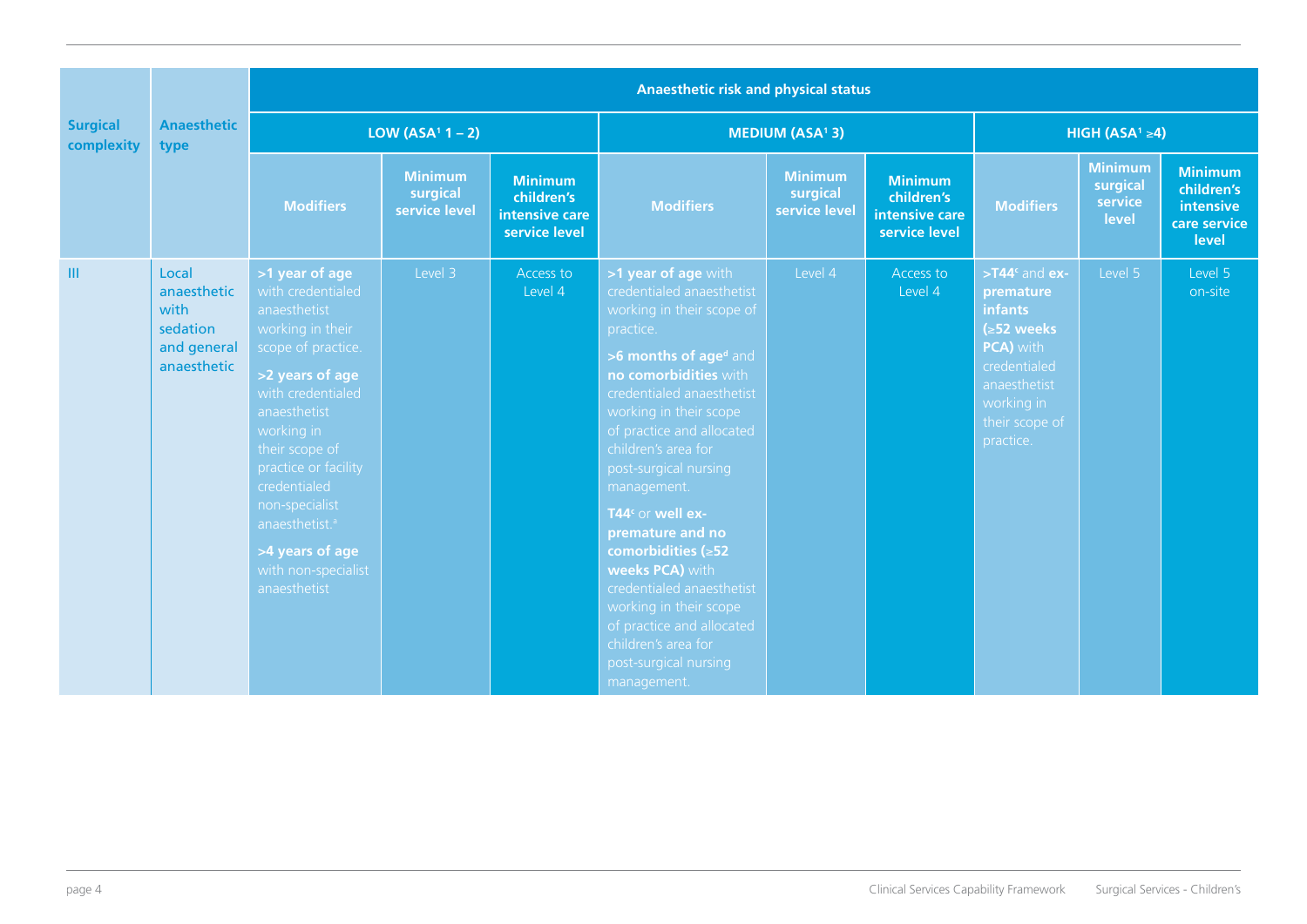| <b>Surgical</b><br>complexity | <b>Anaesthetic</b><br>type                                             | <b>Anaesthetic risk and physical status</b>                                                                                                                                                                                                                                                                                             |                                             |                                                                 |                                                                                                                                                                                                                                                                                                                                                                                                                                                                                                                                                        |                                             |                                                                 |                                                                                                                                                               |                                                |                                                                    |  |
|-------------------------------|------------------------------------------------------------------------|-----------------------------------------------------------------------------------------------------------------------------------------------------------------------------------------------------------------------------------------------------------------------------------------------------------------------------------------|---------------------------------------------|-----------------------------------------------------------------|--------------------------------------------------------------------------------------------------------------------------------------------------------------------------------------------------------------------------------------------------------------------------------------------------------------------------------------------------------------------------------------------------------------------------------------------------------------------------------------------------------------------------------------------------------|---------------------------------------------|-----------------------------------------------------------------|---------------------------------------------------------------------------------------------------------------------------------------------------------------|------------------------------------------------|--------------------------------------------------------------------|--|
|                               |                                                                        | LOW (ASA <sup>1</sup> $1 - 2$ )                                                                                                                                                                                                                                                                                                         |                                             |                                                                 |                                                                                                                                                                                                                                                                                                                                                                                                                                                                                                                                                        | <b>MEDIUM (ASA<sup>1</sup>3)</b>            |                                                                 | HIGH (ASA <sup>1</sup> $\geq$ 4)                                                                                                                              |                                                |                                                                    |  |
|                               |                                                                        | <b>Modifiers</b>                                                                                                                                                                                                                                                                                                                        | <b>Minimum</b><br>surgical<br>service level | <b>Minimum</b><br>children's<br>intensive care<br>service level | <b>Modifiers</b>                                                                                                                                                                                                                                                                                                                                                                                                                                                                                                                                       | <b>Minimum</b><br>surgical<br>service level | <b>Minimum</b><br>children's<br>intensive care<br>service level | <b>Modifiers</b>                                                                                                                                              | <b>Minimum</b><br>surgical<br>service<br>level | <b>Minimum</b><br>children's<br>intensive<br>care service<br>level |  |
| Ш                             | Local<br>anaesthetic<br>with<br>sedation<br>and general<br>anaesthetic | >1 year of age<br>with credentialed<br>anaesthetist<br>working in their<br>scope of practice.<br>>2 years of age<br>with credentialed<br>anaesthetist<br>working in<br>their scope of<br>practice or facility<br>credentialed<br>non-specialist<br>anaesthetist. <sup>a</sup><br>>4 years of age<br>with non-specialist<br>anaesthetist | Level 3                                     | Access to<br>Level 4                                            | >1 year of age with<br>credentialed anaesthetist<br>working in their scope of<br>practice.<br>>6 months of aged and<br>no comorbidities with<br>credentialed anaesthetist<br>working in their scope<br>of practice and allocated<br>children's area for<br>post-surgical nursing<br>management.<br>T44 <sup>c</sup> or well ex-<br>premature and no<br>comorbidities ( $\geq$ 52<br>weeks PCA) with<br>credentialed anaesthetist<br>working in their scope<br>of practice and allocated<br>children's area for<br>post-surgical nursing<br>management. | Level 4                                     | Access to<br>Level 4                                            | $> T44c$ and ex-<br>premature<br><b>infants</b><br>$( \ge 52$ weeks<br>PCA) with<br>credentialed<br>anaesthetist<br>working in<br>their scope of<br>practice. | Level 5                                        | Level 5<br>on-site                                                 |  |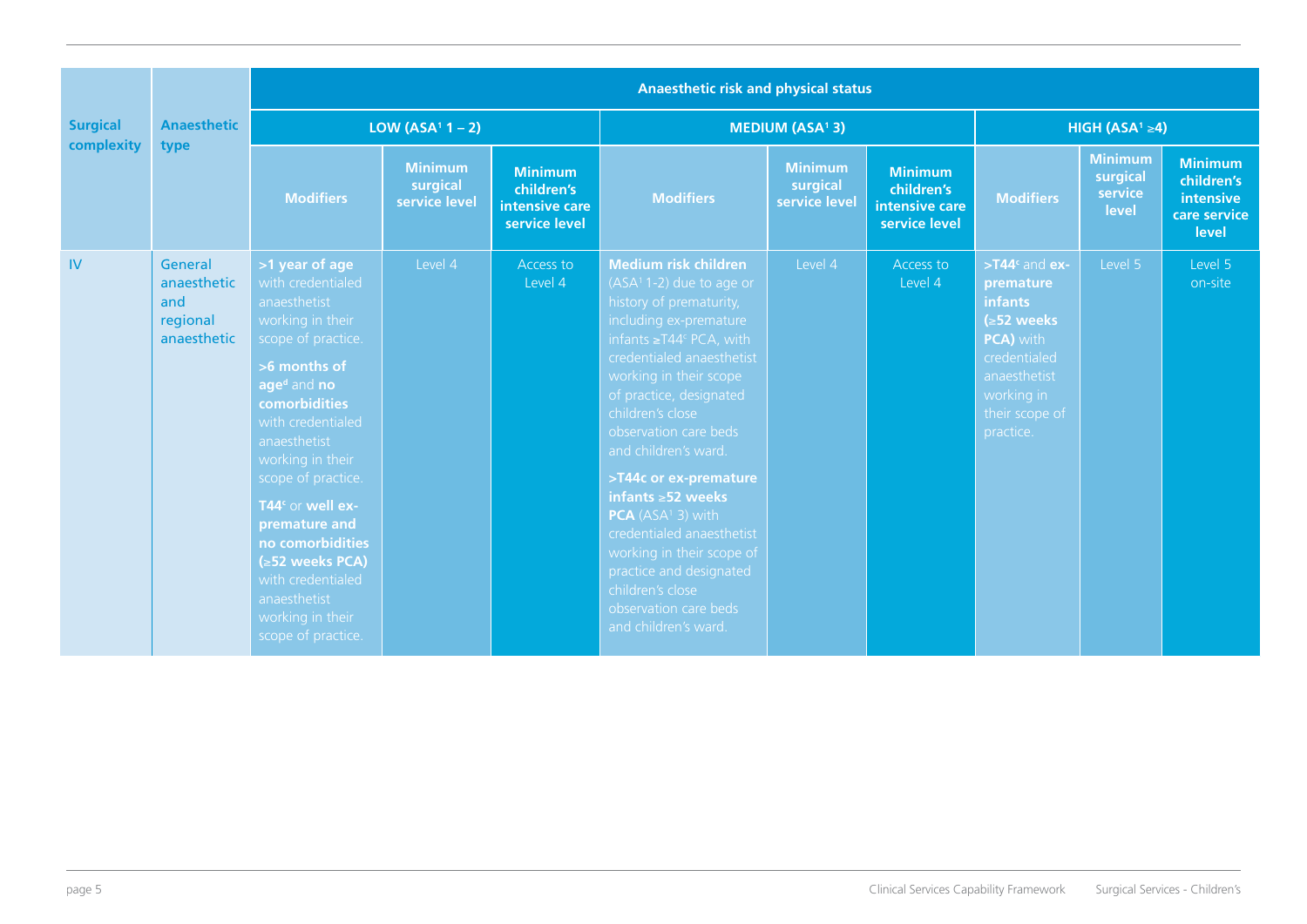|                 | <b>Anaesthetic</b><br>type                               | Anaesthetic risk and physical status                                                                                                                                                                                                                                                                                                                                                                            |                                             |                                                                 |                                                                                                                                                                                                                                                                                                                                                                                                                                                                                                                                                    |                                             |                                                                 |                                                                                                                                                              |                                                |                                                                    |  |  |
|-----------------|----------------------------------------------------------|-----------------------------------------------------------------------------------------------------------------------------------------------------------------------------------------------------------------------------------------------------------------------------------------------------------------------------------------------------------------------------------------------------------------|---------------------------------------------|-----------------------------------------------------------------|----------------------------------------------------------------------------------------------------------------------------------------------------------------------------------------------------------------------------------------------------------------------------------------------------------------------------------------------------------------------------------------------------------------------------------------------------------------------------------------------------------------------------------------------------|---------------------------------------------|-----------------------------------------------------------------|--------------------------------------------------------------------------------------------------------------------------------------------------------------|------------------------------------------------|--------------------------------------------------------------------|--|--|
| <b>Surgical</b> |                                                          | LOW (ASA <sup>1</sup> $1 - 2$ )                                                                                                                                                                                                                                                                                                                                                                                 |                                             |                                                                 |                                                                                                                                                                                                                                                                                                                                                                                                                                                                                                                                                    | <b>MEDIUM (ASA<sup>1</sup>3)</b>            |                                                                 |                                                                                                                                                              | HIGH (ASA <sup>1</sup> $\geq$ 4)               |                                                                    |  |  |
| complexity      |                                                          | <b>Modifiers</b>                                                                                                                                                                                                                                                                                                                                                                                                | <b>Minimum</b><br>surgical<br>service level | <b>Minimum</b><br>children's<br>intensive care<br>service level | <b>Modifiers</b>                                                                                                                                                                                                                                                                                                                                                                                                                                                                                                                                   | <b>Minimum</b><br>surgical<br>service level | <b>Minimum</b><br>children's<br>intensive care<br>service level | <b>Modifiers</b>                                                                                                                                             | <b>Minimum</b><br>surgical<br>service<br>level | <b>Minimum</b><br>children's<br>intensive<br>care service<br>level |  |  |
| IV              | General<br>anaesthetic<br>and<br>regional<br>anaesthetic | >1 year of age<br>with credentialed<br>anaesthetist<br>working in their<br>scope of practice.<br>>6 months of<br>age <sup>d</sup> and no<br>comorbidities<br>with credentialed<br>anaesthetist<br>working in their<br>scope of practice.<br>T44 <sup>c</sup> or well ex-<br>premature and<br>no comorbidities<br>(≥52 weeks PCA)<br>with credentialed<br>anaesthetist<br>working in their<br>scope of practice. | Level 4                                     | Access to<br>Level 4                                            | <b>Medium risk children</b><br>$(ASA1 1-2)$ due to age or<br>history of prematurity,<br>including ex-premature<br>infants $\geq$ T44 $\circ$ PCA, with<br>credentialed anaesthetist<br>working in their scope<br>of practice, designated<br>children's close<br>observation care beds<br>and children's ward.<br>>T44c or ex-premature<br>infants $\geq 52$ weeks<br>$PCA (ASA1 3)$ with<br>credentialed anaesthetist<br>working in their scope of<br>practice and designated<br>children's close<br>observation care beds<br>and children's ward. | Level 4                                     | Access to<br>Level 4                                            | $> T44c$ and ex-<br>premature<br><b>infants</b><br>$\leq 52$ weeks<br>PCA) with<br>credentialed<br>anaesthetist<br>working in<br>their scope of<br>practice. | Level 5                                        | Level 5<br>on-site                                                 |  |  |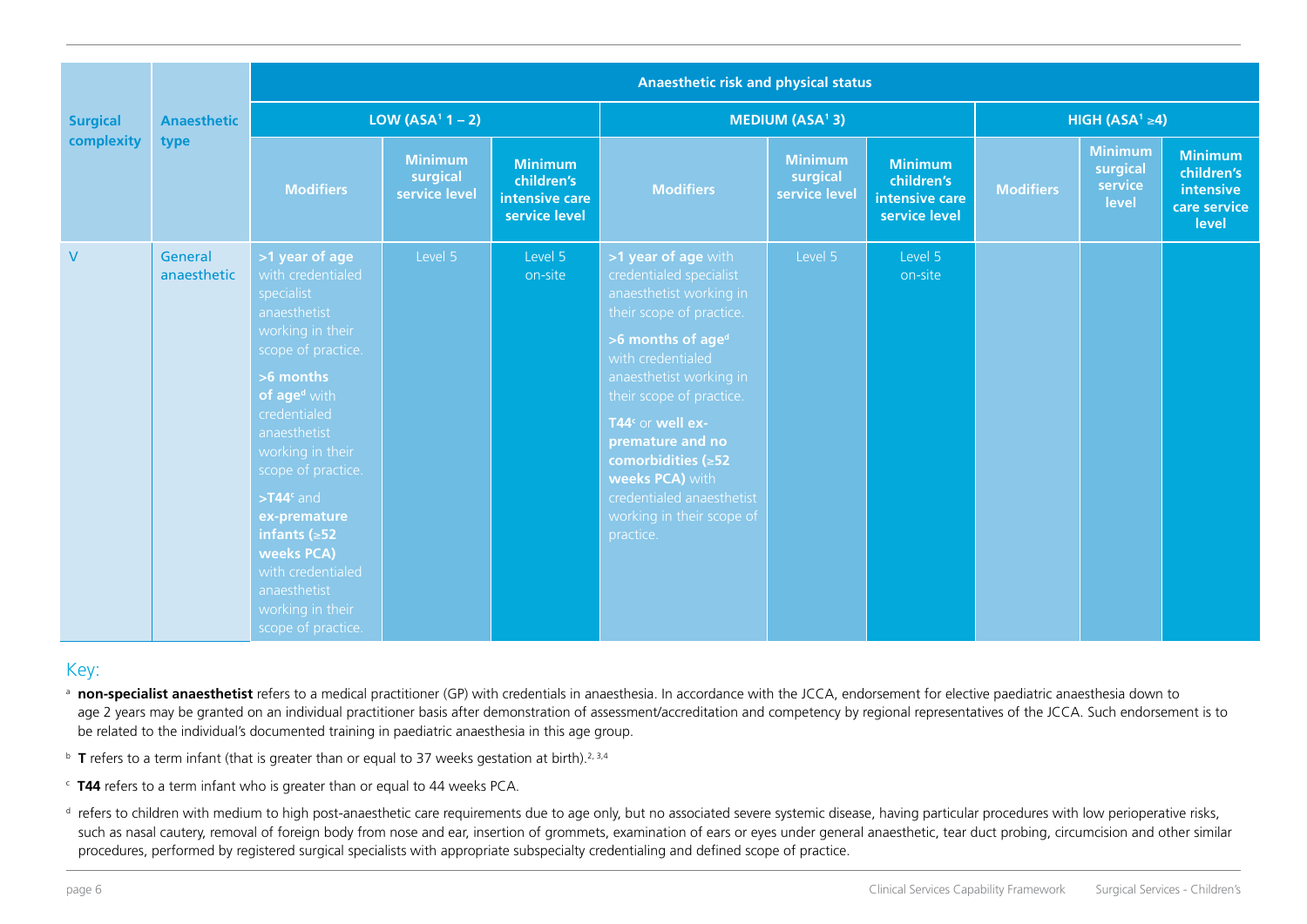|                 | <b>Anaesthetic</b><br>type | <b>Anaesthetic risk and physical status</b>                                                                                                                                                                                                                                                                                                                                        |                                             |                                                                 |                                                                                                                                                                                                                                                                                                                                                                                               |                                             |                                                                 |                  |                                                |                                                                    |  |  |
|-----------------|----------------------------|------------------------------------------------------------------------------------------------------------------------------------------------------------------------------------------------------------------------------------------------------------------------------------------------------------------------------------------------------------------------------------|---------------------------------------------|-----------------------------------------------------------------|-----------------------------------------------------------------------------------------------------------------------------------------------------------------------------------------------------------------------------------------------------------------------------------------------------------------------------------------------------------------------------------------------|---------------------------------------------|-----------------------------------------------------------------|------------------|------------------------------------------------|--------------------------------------------------------------------|--|--|
| <b>Surgical</b> |                            |                                                                                                                                                                                                                                                                                                                                                                                    | LOW (ASA <sup>1</sup> $1 - 2$ )             |                                                                 |                                                                                                                                                                                                                                                                                                                                                                                               | <b>MEDIUM (ASA<sup>1</sup>3)</b>            |                                                                 |                  | HIGH (ASA <sup>1</sup> $\geq$ 4)               |                                                                    |  |  |
| complexity      |                            | <b>Modifiers</b>                                                                                                                                                                                                                                                                                                                                                                   | <b>Minimum</b><br>surgical<br>service level | <b>Minimum</b><br>children's<br>intensive care<br>service level | <b>Modifiers</b>                                                                                                                                                                                                                                                                                                                                                                              | <b>Minimum</b><br>surgical<br>service level | <b>Minimum</b><br>children's<br>intensive care<br>service level | <b>Modifiers</b> | <b>Minimum</b><br>surgical<br>service<br>level | <b>Minimum</b><br>children's<br>intensive<br>care service<br>level |  |  |
| $\mathsf{V}$    | General<br>anaesthetic     | >1 year of age<br>with credentialed<br>specialist<br>anaesthetist<br>working in their<br>scope of practice.<br>>6 months<br>of age <sup>d</sup> with<br>credentialed<br>anaesthetist<br>working in their<br>scope of practice.<br>$> T44c$ and<br>ex-premature<br>infants $( \ge 52)$<br>weeks PCA)<br>with credentialed<br>anaesthetist<br>working in their<br>scope of practice. | Level 5                                     | Level 5<br>on-site                                              | >1 year of age with<br>credentialed specialist<br>anaesthetist working in<br>their scope of practice.<br>>6 months of age <sup>d</sup><br>with credentialed<br>anaesthetist working in<br>their scope of practice.<br>T44 <sup>c</sup> or well ex-<br>premature and no<br>comorbidities $( \ge 52)$<br>weeks PCA) with<br>credentialed anaesthetist<br>working in their scope of<br>practice. | Level 5                                     | Level 5<br>on-site                                              |                  |                                                |                                                                    |  |  |

#### Key:

- **non-specialist anaesthetist** refers to a medical practitioner (GP) with credentials in anaesthesia. In accordance with the JCCA, endorsement for elective paediatric anaesthesia down to age 2 years may be granted on an individual practitioner basis after demonstration of assessment/accreditation and competency by regional representatives of the JCCA. Such endorsement is to be related to the individual's documented training in paediatric anaesthesia in this age group.
- <sup>b</sup> **T** refers to a term infant (that is greater than or equal to 37 weeks gestation at birth).<sup>2, 3,4</sup>
- c **T44** refers to a term infant who is greater than or equal to 44 weeks PCA.
- <sup>d</sup> refers to children with medium to high post-anaesthetic care requirements due to age only, but no associated severe systemic disease, having particular procedures with low perioperative risks, such as nasal cautery, removal of foreign body from nose and ear, insertion of grommets, examination of ears or eyes under general anaesthetic, tear duct probing, circumcision and other similar procedures, performed by registered surgical specialists with appropriate subspecialty credentialing and defined scope of practice.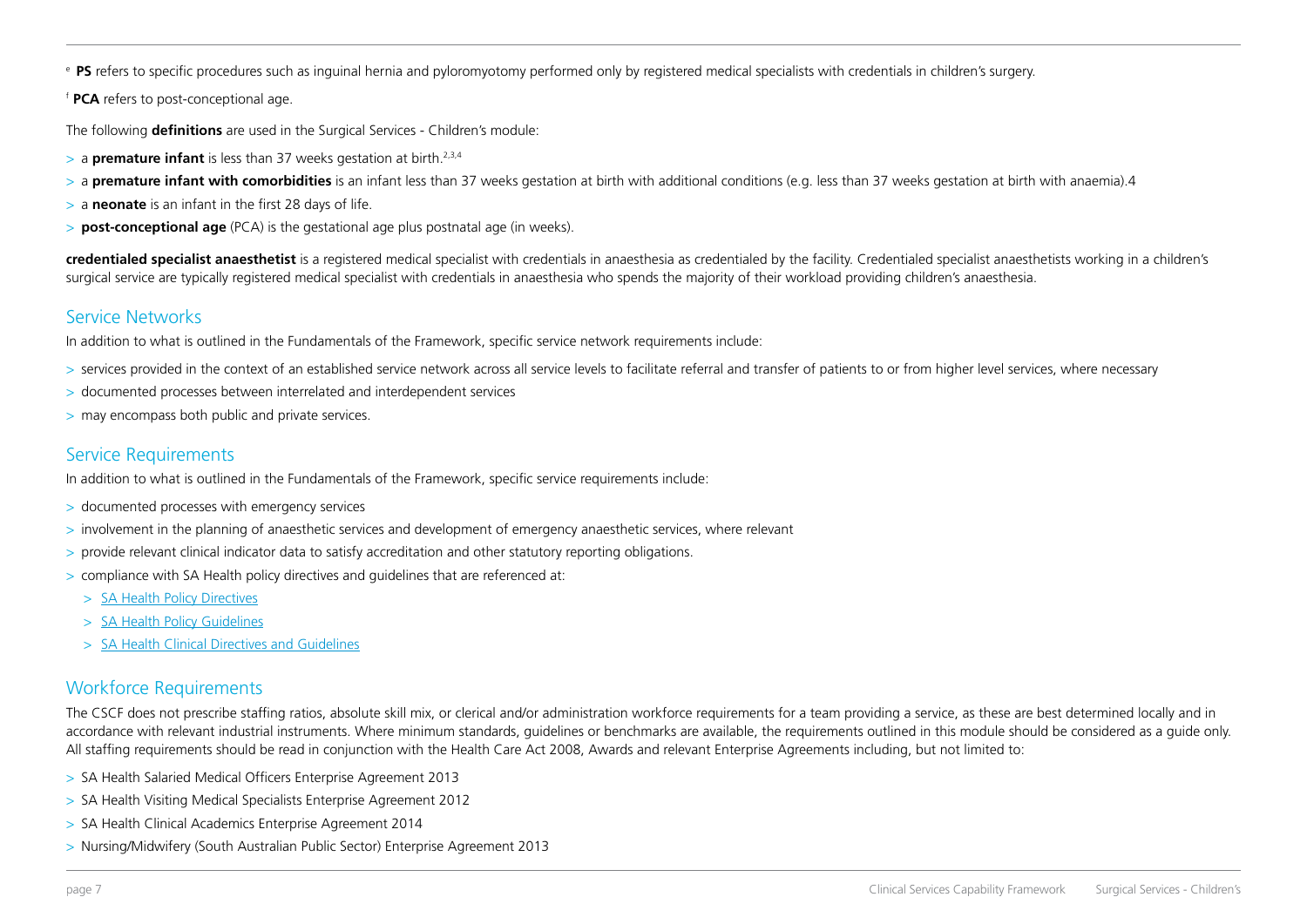<sup>e</sup>**PS** refers to specific procedures such as inguinal hernia and pyloromyotomy performed only by registered medical specialists with credentials in children's surgery.

<sup>f</sup>**PCA** refers to post-conceptional age.

The following **definitions** are used in the Surgical Services - Children's module:

- > a **premature infant** is less than 37 weeks gestation at birth.2,3,4
- > a **premature infant with comorbidities** is an infant less than 37 weeks gestation at birth with additional conditions (e.g. less than 37 weeks gestation at birth with anaemia).4
- > a **neonate** is an infant in the first 28 days of life.
- > **post-conceptional age** (PCA) is the gestational age plus postnatal age (in weeks).

**credentialed specialist anaesthetist** is a registered medical specialist with credentials in anaesthesia as credentialed by the facility. Credentialed specialist anaesthetists working in a children's surgical service are typically registered medical specialist with credentials in anaesthesia who spends the majority of their workload providing children's anaesthesia.

## Service Networks

In addition to what is outlined in the Fundamentals of the Framework, specific service network requirements include:

- $>$  services provided in the context of an established service network across all service levels to facilitate referral and transfer of patients to or from higher level services, where necessary
- > documented processes between interrelated and interdependent services
- > may encompass both public and private services.

# Service Requirements

In addition to what is outlined in the Fundamentals of the Framework, specific service requirements include:

- > documented processes with emergency services
- > involvement in the planning of anaesthetic services and development of emergency anaesthetic services, where relevant
- > provide relevant clinical indicator data to satisfy accreditation and other statutory reporting obligations.
- > compliance with SA Health policy directives and guidelines that are referenced at:
	- > [SA Health Policy Directives](http://inside.sahealth.sa.gov.au/wps/wcm/connect/non-public+content/sa+health+intranet/business+units/health+system+development/office+of+the+chief+executive/policies/directives/policy+directives)
	- > [SA Health Policy Guidelines](http://inside.sahealth.sa.gov.au/wps/wcm/connect/non-public+content/sa+health+intranet/business+units/health+system+development/office+of+the+chief+executive/policies/guidelines/policy+guidelines)
	- > [SA Health Clinical Directives and Guidelines](http://inside.sahealth.sa.gov.au/wps/wcm/connect/non-public+content/sa+health+intranet/business+units/health+system+development/office+of+the+chief+executive/policies/clinical+directives+and+guidelines)

## Workforce Requirements

The CSCF does not prescribe staffing ratios, absolute skill mix, or clerical and/or administration workforce requirements for a team providing a service, as these are best determined locally and in accordance with relevant industrial instruments. Where minimum standards, guidelines or benchmarks are available, the requirements outlined in this module should be considered as a guide only. All staffing requirements should be read in conjunction with the Health Care Act 2008, Awards and relevant Enterprise Agreements including, but not limited to:

- > SA Health Salaried Medical Officers Enterprise Agreement 2013
- > SA Health Visiting Medical Specialists Enterprise Agreement 2012
- > SA Health Clinical Academics Enterprise Agreement 2014
- > Nursing/Midwifery (South Australian Public Sector) Enterprise Agreement 2013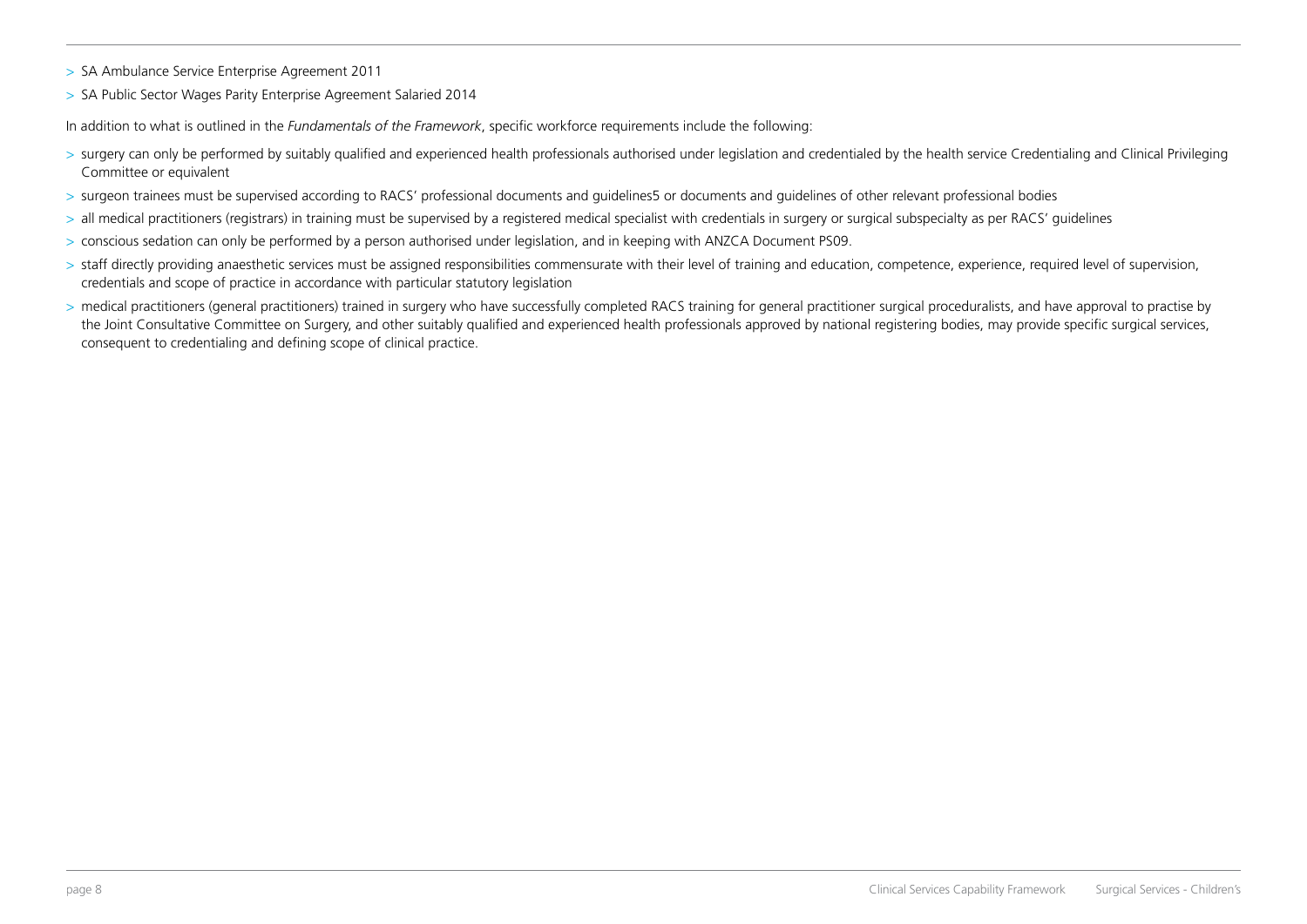- > SA Ambulance Service Enterprise Agreement 2011
- > SA Public Sector Wages Parity Enterprise Agreement Salaried 2014

In addition to what is outlined in the *Fundamentals of the Framework*, specific workforce requirements include the following:

- > surgery can only be performed by suitably qualified and experienced health professionals authorised under legislation and credentialed by the health service Credentialing and Clinical Privileging Committee or equivalent
- > surgeon trainees must be supervised according to RACS' professional documents and guidelines5 or documents and guidelines of other relevant professional bodies
- > all medical practitioners (registrars) in training must be supervised by a registered medical specialist with credentials in surgery or surgical subspecialty as per RACS' guidelines
- > conscious sedation can only be performed by a person authorised under legislation, and in keeping with ANZCA Document PS09.
- > staff directly providing anaesthetic services must be assigned responsibilities commensurate with their level of training and education, competence, experience, required level of supervision, credentials and scope of practice in accordance with particular statutory legislation
- > medical practitioners (general practitioners) trained in surgery who have successfully completed RACS training for general practitioner surgical proceduralists, and have approval to practise by the Joint Consultative Committee on Surgery, and other suitably qualified and experienced health professionals approved by national registering bodies, may provide specific surgical services, consequent to credentialing and defining scope of clinical practice.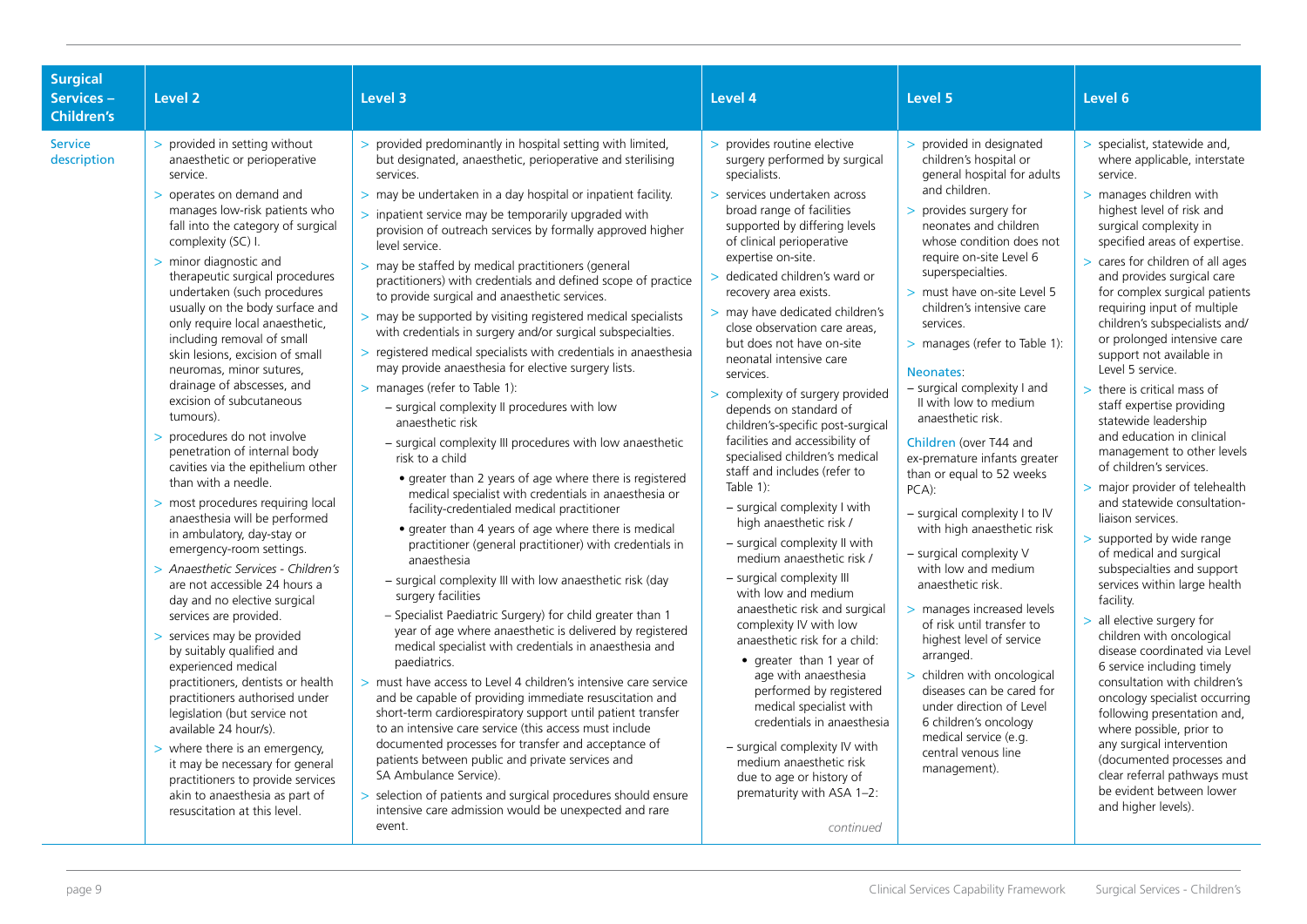| <b>Surgical</b><br>Services-<br><b>Children's</b> | Level <sub>2</sub>                                                                                                                                                                                                                                                                                                                                                                                                                                                                                                                                                                                                                                                                                                                                                                                                                                                                                                                                                                                                                                                                                                                                                                                                                                                                                                                    | Level 3                                                                                                                                                                                                                                                                                                                                                                                                                                                                                                                                                                                                                                                                                                                                                                                                                                                                                                                                                                                                                                                                                                                                                                                                                                                                                                                                                                                                                                                                                                                                                                                                                                                                                                                                                                                                                                                                                                                                                                                                                                                                                          | Level 4                                                                                                                                                                                                                                                                                                                                                                                                                                                                                                                                                                                                                                                                                                                                                                                                                                                                                                                                                                                                                                                                                                                                                                                                     | Level 5                                                                                                                                                                                                                                                                                                                                                                                                                                                                                                                                                                                                                                                                                                                                                                                                                                                                                                                                                              | Level 6                                                                                                                                                                                                                                                                                                                                                                                                                                                                                                                                                                                                                                                                                                                                                                                                                                                                                                                                                                                                                                                                                                                                                                                                                                                |
|---------------------------------------------------|---------------------------------------------------------------------------------------------------------------------------------------------------------------------------------------------------------------------------------------------------------------------------------------------------------------------------------------------------------------------------------------------------------------------------------------------------------------------------------------------------------------------------------------------------------------------------------------------------------------------------------------------------------------------------------------------------------------------------------------------------------------------------------------------------------------------------------------------------------------------------------------------------------------------------------------------------------------------------------------------------------------------------------------------------------------------------------------------------------------------------------------------------------------------------------------------------------------------------------------------------------------------------------------------------------------------------------------|--------------------------------------------------------------------------------------------------------------------------------------------------------------------------------------------------------------------------------------------------------------------------------------------------------------------------------------------------------------------------------------------------------------------------------------------------------------------------------------------------------------------------------------------------------------------------------------------------------------------------------------------------------------------------------------------------------------------------------------------------------------------------------------------------------------------------------------------------------------------------------------------------------------------------------------------------------------------------------------------------------------------------------------------------------------------------------------------------------------------------------------------------------------------------------------------------------------------------------------------------------------------------------------------------------------------------------------------------------------------------------------------------------------------------------------------------------------------------------------------------------------------------------------------------------------------------------------------------------------------------------------------------------------------------------------------------------------------------------------------------------------------------------------------------------------------------------------------------------------------------------------------------------------------------------------------------------------------------------------------------------------------------------------------------------------------------------------------------|-------------------------------------------------------------------------------------------------------------------------------------------------------------------------------------------------------------------------------------------------------------------------------------------------------------------------------------------------------------------------------------------------------------------------------------------------------------------------------------------------------------------------------------------------------------------------------------------------------------------------------------------------------------------------------------------------------------------------------------------------------------------------------------------------------------------------------------------------------------------------------------------------------------------------------------------------------------------------------------------------------------------------------------------------------------------------------------------------------------------------------------------------------------------------------------------------------------|----------------------------------------------------------------------------------------------------------------------------------------------------------------------------------------------------------------------------------------------------------------------------------------------------------------------------------------------------------------------------------------------------------------------------------------------------------------------------------------------------------------------------------------------------------------------------------------------------------------------------------------------------------------------------------------------------------------------------------------------------------------------------------------------------------------------------------------------------------------------------------------------------------------------------------------------------------------------|--------------------------------------------------------------------------------------------------------------------------------------------------------------------------------------------------------------------------------------------------------------------------------------------------------------------------------------------------------------------------------------------------------------------------------------------------------------------------------------------------------------------------------------------------------------------------------------------------------------------------------------------------------------------------------------------------------------------------------------------------------------------------------------------------------------------------------------------------------------------------------------------------------------------------------------------------------------------------------------------------------------------------------------------------------------------------------------------------------------------------------------------------------------------------------------------------------------------------------------------------------|
| <b>Service</b><br>description                     | > provided in setting without<br>anaesthetic or perioperative<br>service.<br>> operates on demand and<br>manages low-risk patients who<br>fall into the category of surgical<br>complexity (SC) I.<br>> minor diagnostic and<br>therapeutic surgical procedures<br>undertaken (such procedures<br>usually on the body surface and<br>only require local anaesthetic,<br>including removal of small<br>skin lesions, excision of small<br>neuromas, minor sutures,<br>drainage of abscesses, and<br>excision of subcutaneous<br>tumours).<br>> procedures do not involve<br>penetration of internal body<br>cavities via the epithelium other<br>than with a needle.<br>> most procedures requiring local<br>anaesthesia will be performed<br>in ambulatory, day-stay or<br>emergency-room settings.<br>> Anaesthetic Services - Children's<br>are not accessible 24 hours a<br>day and no elective surgical<br>services are provided.<br>> services may be provided<br>by suitably qualified and<br>experienced medical<br>practitioners, dentists or health<br>practitioners authorised under<br>legislation (but service not<br>available 24 hour/s).<br>$>$ where there is an emergency,<br>it may be necessary for general<br>practitioners to provide services<br>akin to anaesthesia as part of<br>resuscitation at this level. | > provided predominantly in hospital setting with limited,<br>but designated, anaesthetic, perioperative and sterilising<br>services.<br>$>$ may be undertaken in a day hospital or inpatient facility.<br>> inpatient service may be temporarily upgraded with<br>provision of outreach services by formally approved higher<br>level service.<br>> may be staffed by medical practitioners (general<br>practitioners) with credentials and defined scope of practice<br>to provide surgical and anaesthetic services.<br>> may be supported by visiting registered medical specialists<br>with credentials in surgery and/or surgical subspecialties.<br>> registered medical specialists with credentials in anaesthesia<br>may provide anaesthesia for elective surgery lists.<br>> manages (refer to Table 1):<br>- surgical complexity II procedures with low<br>anaesthetic risk<br>- surgical complexity III procedures with low anaesthetic<br>risk to a child<br>• greater than 2 years of age where there is registered<br>medical specialist with credentials in anaesthesia or<br>facility-credentialed medical practitioner<br>• greater than 4 years of age where there is medical<br>practitioner (general practitioner) with credentials in<br>anaesthesia<br>- surgical complexity III with low anaesthetic risk (day<br>surgery facilities<br>- Specialist Paediatric Surgery) for child greater than 1<br>year of age where anaesthetic is delivered by registered<br>medical specialist with credentials in anaesthesia and<br>paediatrics.<br>> must have access to Level 4 children's intensive care service<br>and be capable of providing immediate resuscitation and<br>short-term cardiorespiratory support until patient transfer<br>to an intensive care service (this access must include<br>documented processes for transfer and acceptance of<br>patients between public and private services and<br>SA Ambulance Service).<br>> selection of patients and surgical procedures should ensure<br>intensive care admission would be unexpected and rare<br>event. | > provides routine elective<br>surgery performed by surgical<br>specialists.<br>> services undertaken across<br>broad range of facilities<br>supported by differing levels<br>of clinical perioperative<br>expertise on-site.<br>> dedicated children's ward or<br>recovery area exists.<br>> may have dedicated children's<br>close observation care areas,<br>but does not have on-site<br>neonatal intensive care<br>services.<br>> complexity of surgery provided<br>depends on standard of<br>children's-specific post-surgical<br>facilities and accessibility of<br>specialised children's medical<br>staff and includes (refer to<br>Table $1$ :<br>- surgical complexity I with<br>high anaesthetic risk /<br>- surgical complexity II with<br>medium anaesthetic risk /<br>- surgical complexity III<br>with low and medium<br>anaesthetic risk and surgical<br>complexity IV with low<br>anaesthetic risk for a child:<br>• greater than 1 year of<br>age with anaesthesia<br>performed by registered<br>medical specialist with<br>credentials in anaesthesia<br>- surgical complexity IV with<br>medium anaesthetic risk<br>due to age or history of<br>prematurity with ASA 1-2:<br>continued | > provided in designated<br>children's hospital or<br>general hospital for adults<br>and children.<br>> provides surgery for<br>neonates and children<br>whose condition does not<br>require on-site Level 6<br>superspecialties.<br>> must have on-site Level 5<br>children's intensive care<br>services.<br>> manages (refer to Table 1):<br>Neonates:<br>- surgical complexity I and<br>II with low to medium<br>anaesthetic risk.<br>Children (over T44 and<br>ex-premature infants greater<br>than or equal to 52 weeks<br>$PCA$ :<br>$-$ surgical complexity I to IV<br>with high anaesthetic risk<br>- surgical complexity V<br>with low and medium<br>anaesthetic risk.<br>> manages increased levels<br>of risk until transfer to<br>highest level of service<br>arranged.<br>> children with oncological<br>diseases can be cared for<br>under direction of Level<br>6 children's oncology<br>medical service (e.g.<br>central venous line<br>management). | > specialist, statewide and,<br>where applicable, interstate<br>service.<br>> manages children with<br>highest level of risk and<br>surgical complexity in<br>specified areas of expertise.<br>> cares for children of all ages<br>and provides surgical care<br>for complex surgical patients<br>requiring input of multiple<br>children's subspecialists and/<br>or prolonged intensive care<br>support not available in<br>Level 5 service.<br>$>$ there is critical mass of<br>staff expertise providing<br>statewide leadership<br>and education in clinical<br>management to other levels<br>of children's services.<br>> major provider of telehealth<br>and statewide consultation-<br>liaison services.<br>> supported by wide range<br>of medical and surgical<br>subspecialties and support<br>services within large health<br>facility.<br>> all elective surgery for<br>children with oncological<br>disease coordinated via Level<br>6 service including timely<br>consultation with children's<br>oncology specialist occurring<br>following presentation and,<br>where possible, prior to<br>any surgical intervention<br>(documented processes and<br>clear referral pathways must<br>be evident between lower<br>and higher levels). |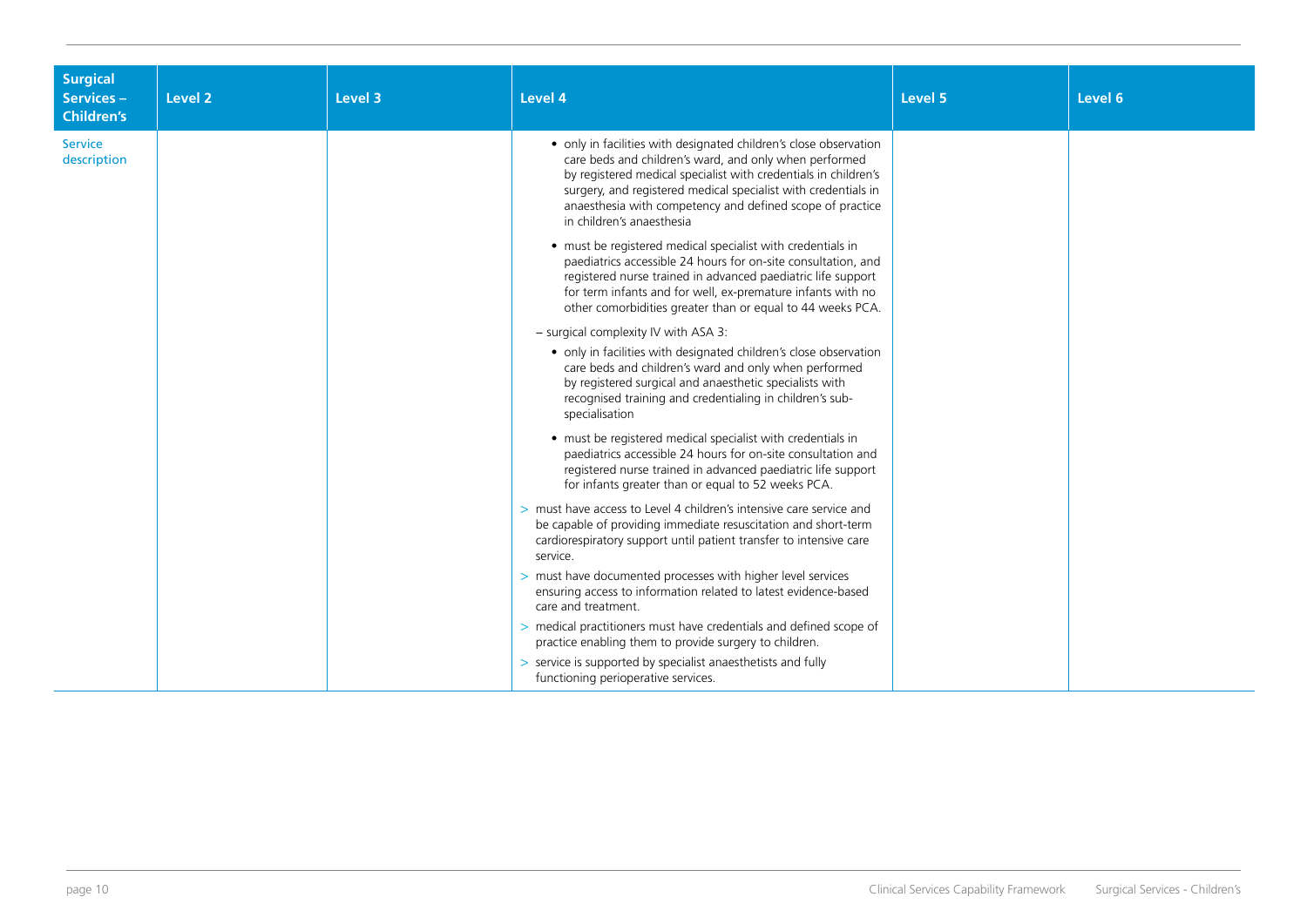| <b>Surgical</b><br>Services-<br><b>Children's</b> | Level 2 | Level 3 | Level 4                                                                                                                                                                                                                                                                                                                                                    | Level 5 | Level 6 |
|---------------------------------------------------|---------|---------|------------------------------------------------------------------------------------------------------------------------------------------------------------------------------------------------------------------------------------------------------------------------------------------------------------------------------------------------------------|---------|---------|
| <b>Service</b><br>description                     |         |         | • only in facilities with designated children's close observation<br>care beds and children's ward, and only when performed<br>by registered medical specialist with credentials in children's<br>surgery, and registered medical specialist with credentials in<br>anaesthesia with competency and defined scope of practice<br>in children's anaesthesia |         |         |
|                                                   |         |         | • must be registered medical specialist with credentials in<br>paediatrics accessible 24 hours for on-site consultation, and<br>registered nurse trained in advanced paediatric life support<br>for term infants and for well, ex-premature infants with no<br>other comorbidities greater than or equal to 44 weeks PCA.                                  |         |         |
|                                                   |         |         | - surgical complexity IV with ASA 3:                                                                                                                                                                                                                                                                                                                       |         |         |
|                                                   |         |         | • only in facilities with designated children's close observation<br>care beds and children's ward and only when performed<br>by registered surgical and anaesthetic specialists with<br>recognised training and credentialing in children's sub-<br>specialisation                                                                                        |         |         |
|                                                   |         |         | • must be registered medical specialist with credentials in<br>paediatrics accessible 24 hours for on-site consultation and<br>registered nurse trained in advanced paediatric life support<br>for infants greater than or equal to 52 weeks PCA.                                                                                                          |         |         |
|                                                   |         |         | > must have access to Level 4 children's intensive care service and<br>be capable of providing immediate resuscitation and short-term<br>cardiorespiratory support until patient transfer to intensive care<br>service.                                                                                                                                    |         |         |
|                                                   |         |         | > must have documented processes with higher level services<br>ensuring access to information related to latest evidence-based<br>care and treatment.                                                                                                                                                                                                      |         |         |
|                                                   |         |         | > medical practitioners must have credentials and defined scope of<br>practice enabling them to provide surgery to children.                                                                                                                                                                                                                               |         |         |
|                                                   |         |         | > service is supported by specialist anaesthetists and fully<br>functioning perioperative services.                                                                                                                                                                                                                                                        |         |         |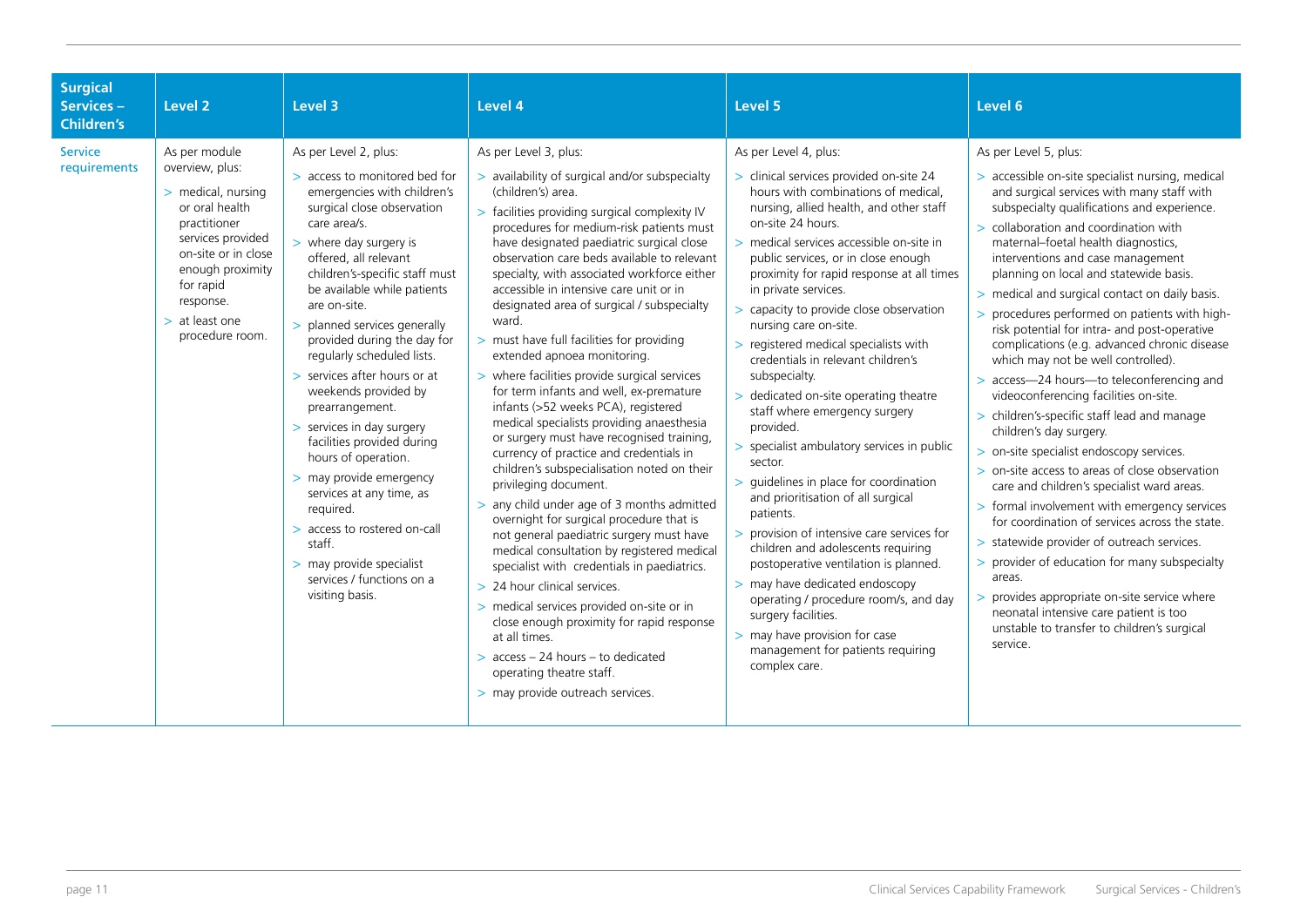| <b>Surgical</b><br><b>Services -</b><br><b>Children's</b> | Level <sub>2</sub>                                                                                                                                                                                                        | Level 3                                                                                                                                                                                                                                                                                                                                                                                                                                                                                                                                                                                                                                                                                                                       | Level 4                                                                                                                                                                                                                                                                                                                                                                                                                                                                                                                                                                                                                                                                                                                                                                                                                                                                                                                                                                                                                                                                                                                                                                                                                                                                                                                                                      | Level 5                                                                                                                                                                                                                                                                                                                                                                                                                                                                                                                                                                                                                                                                                                                                                                                                                                                                                                                                                                                                                                                              | Level 6                                                                                                                                                                                                                                                                                                                                                                                                                                                                                                                                                                                                                                                                                                                                                                                                                                                                                                                                                                                                                                                                                                                                                                                                                                                    |
|-----------------------------------------------------------|---------------------------------------------------------------------------------------------------------------------------------------------------------------------------------------------------------------------------|-------------------------------------------------------------------------------------------------------------------------------------------------------------------------------------------------------------------------------------------------------------------------------------------------------------------------------------------------------------------------------------------------------------------------------------------------------------------------------------------------------------------------------------------------------------------------------------------------------------------------------------------------------------------------------------------------------------------------------|--------------------------------------------------------------------------------------------------------------------------------------------------------------------------------------------------------------------------------------------------------------------------------------------------------------------------------------------------------------------------------------------------------------------------------------------------------------------------------------------------------------------------------------------------------------------------------------------------------------------------------------------------------------------------------------------------------------------------------------------------------------------------------------------------------------------------------------------------------------------------------------------------------------------------------------------------------------------------------------------------------------------------------------------------------------------------------------------------------------------------------------------------------------------------------------------------------------------------------------------------------------------------------------------------------------------------------------------------------------|----------------------------------------------------------------------------------------------------------------------------------------------------------------------------------------------------------------------------------------------------------------------------------------------------------------------------------------------------------------------------------------------------------------------------------------------------------------------------------------------------------------------------------------------------------------------------------------------------------------------------------------------------------------------------------------------------------------------------------------------------------------------------------------------------------------------------------------------------------------------------------------------------------------------------------------------------------------------------------------------------------------------------------------------------------------------|------------------------------------------------------------------------------------------------------------------------------------------------------------------------------------------------------------------------------------------------------------------------------------------------------------------------------------------------------------------------------------------------------------------------------------------------------------------------------------------------------------------------------------------------------------------------------------------------------------------------------------------------------------------------------------------------------------------------------------------------------------------------------------------------------------------------------------------------------------------------------------------------------------------------------------------------------------------------------------------------------------------------------------------------------------------------------------------------------------------------------------------------------------------------------------------------------------------------------------------------------------|
| <b>Service</b><br>requirements                            | As per module<br>overview, plus:<br>> medical, nursing<br>or oral health<br>practitioner<br>services provided<br>on-site or in close<br>enough proximity<br>for rapid<br>response.<br>$>$ at least one<br>procedure room. | As per Level 2, plus:<br>> access to monitored bed for<br>emergencies with children's<br>surgical close observation<br>care area/s.<br>$>$ where day surgery is<br>offered, all relevant<br>children's-specific staff must<br>be available while patients<br>are on-site.<br>> planned services generally<br>provided during the day for<br>regularly scheduled lists.<br>> services after hours or at<br>weekends provided by<br>prearrangement.<br>> services in day surgery<br>facilities provided during<br>hours of operation.<br>> may provide emergency<br>services at any time, as<br>required.<br>> access to rostered on-call<br>staff.<br>> may provide specialist<br>services / functions on a<br>visiting basis. | As per Level 3, plus:<br>> availability of surgical and/or subspecialty<br>(children's) area.<br>> facilities providing surgical complexity IV<br>procedures for medium-risk patients must<br>have designated paediatric surgical close<br>observation care beds available to relevant<br>specialty, with associated workforce either<br>accessible in intensive care unit or in<br>designated area of surgical / subspecialty<br>ward.<br>> must have full facilities for providing<br>extended apnoea monitoring.<br>> where facilities provide surgical services<br>for term infants and well, ex-premature<br>infants (>52 weeks PCA), registered<br>medical specialists providing anaesthesia<br>or surgery must have recognised training,<br>currency of practice and credentials in<br>children's subspecialisation noted on their<br>privileging document.<br>> any child under age of 3 months admitted<br>overnight for surgical procedure that is<br>not general paediatric surgery must have<br>medical consultation by registered medical<br>specialist with credentials in paediatrics.<br>> 24 hour clinical services.<br>> medical services provided on-site or in<br>close enough proximity for rapid response<br>at all times.<br>$>$ access $-$ 24 hours $-$ to dedicated<br>operating theatre staff.<br>> may provide outreach services. | As per Level 4, plus:<br>> clinical services provided on-site 24<br>hours with combinations of medical.<br>nursing, allied health, and other staff<br>on-site 24 hours.<br>> medical services accessible on-site in<br>public services, or in close enough<br>proximity for rapid response at all times<br>in private services.<br>> capacity to provide close observation<br>nursing care on-site.<br>> registered medical specialists with<br>credentials in relevant children's<br>subspecialty.<br>> dedicated on-site operating theatre<br>staff where emergency surgery<br>provided.<br>> specialist ambulatory services in public<br>sector.<br>> quidelines in place for coordination<br>and prioritisation of all surgical<br>patients.<br>provision of intensive care services for<br>children and adolescents requiring<br>postoperative ventilation is planned.<br>> may have dedicated endoscopy<br>operating / procedure room/s, and day<br>surgery facilities.<br>> may have provision for case<br>management for patients requiring<br>complex care. | As per Level 5, plus:<br>> accessible on-site specialist nursing, medical<br>and surgical services with many staff with<br>subspecialty qualifications and experience.<br>> collaboration and coordination with<br>maternal-foetal health diagnostics,<br>interventions and case management<br>planning on local and statewide basis.<br>> medical and surgical contact on daily basis.<br>> procedures performed on patients with high-<br>risk potential for intra- and post-operative<br>complications (e.g. advanced chronic disease<br>which may not be well controlled).<br>> access-24 hours-to teleconferencing and<br>videoconferencing facilities on-site.<br>> children's-specific staff lead and manage<br>children's day surgery.<br>> on-site specialist endoscopy services.<br>> on-site access to areas of close observation<br>care and children's specialist ward areas.<br>> formal involvement with emergency services<br>for coordination of services across the state.<br>> statewide provider of outreach services.<br>> provider of education for many subspecialty<br>areas.<br>> provides appropriate on-site service where<br>neonatal intensive care patient is too<br>unstable to transfer to children's surgical<br>service. |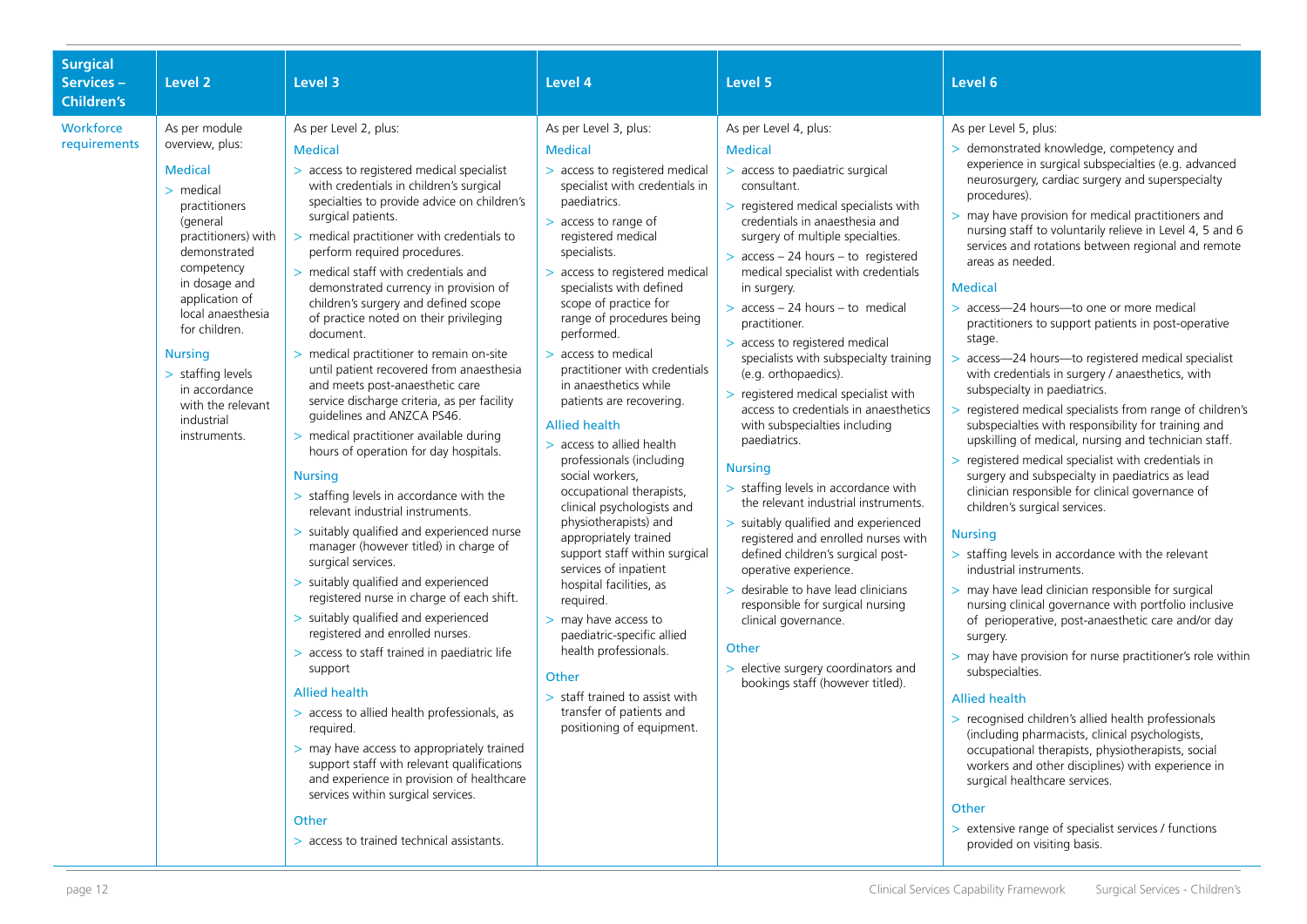| <b>Surgical</b><br>Services-<br><b>Children's</b> | Level <sub>2</sub>                                                                                                                                                                                                                                                                                                                      | Level 3                                                                                                                                                                                                                                                                                                                                                                                                                                                                                                                                                                                                                                                                                                                                                                                                                                                                                                                                                                                                                                                                                                                                                                                                                                                                                                                                                                                                                                                                                                                           | Level 4                                                                                                                                                                                                                                                                                                                                                                                                                                                                                                                                                                                                                                                                                                                                                                                                                                                                                                                                       | Level 5                                                                                                                                                                                                                                                                                                                                                                                                                                                                                                                                                                                                                                                                                                                                                                                                                                                                                                                                                                                                                                    | Level 6                                                                                                                                                                                                                                                                                                                                                                                                                                                                                                                                                                                                                                                                                                                                                                                                                                                                                                                                                                                                                                                                                                                                                                                                                                                                                                                                                                                                                                                                                                                                                                                                                                                                                                                                                                                      |
|---------------------------------------------------|-----------------------------------------------------------------------------------------------------------------------------------------------------------------------------------------------------------------------------------------------------------------------------------------------------------------------------------------|-----------------------------------------------------------------------------------------------------------------------------------------------------------------------------------------------------------------------------------------------------------------------------------------------------------------------------------------------------------------------------------------------------------------------------------------------------------------------------------------------------------------------------------------------------------------------------------------------------------------------------------------------------------------------------------------------------------------------------------------------------------------------------------------------------------------------------------------------------------------------------------------------------------------------------------------------------------------------------------------------------------------------------------------------------------------------------------------------------------------------------------------------------------------------------------------------------------------------------------------------------------------------------------------------------------------------------------------------------------------------------------------------------------------------------------------------------------------------------------------------------------------------------------|-----------------------------------------------------------------------------------------------------------------------------------------------------------------------------------------------------------------------------------------------------------------------------------------------------------------------------------------------------------------------------------------------------------------------------------------------------------------------------------------------------------------------------------------------------------------------------------------------------------------------------------------------------------------------------------------------------------------------------------------------------------------------------------------------------------------------------------------------------------------------------------------------------------------------------------------------|--------------------------------------------------------------------------------------------------------------------------------------------------------------------------------------------------------------------------------------------------------------------------------------------------------------------------------------------------------------------------------------------------------------------------------------------------------------------------------------------------------------------------------------------------------------------------------------------------------------------------------------------------------------------------------------------------------------------------------------------------------------------------------------------------------------------------------------------------------------------------------------------------------------------------------------------------------------------------------------------------------------------------------------------|----------------------------------------------------------------------------------------------------------------------------------------------------------------------------------------------------------------------------------------------------------------------------------------------------------------------------------------------------------------------------------------------------------------------------------------------------------------------------------------------------------------------------------------------------------------------------------------------------------------------------------------------------------------------------------------------------------------------------------------------------------------------------------------------------------------------------------------------------------------------------------------------------------------------------------------------------------------------------------------------------------------------------------------------------------------------------------------------------------------------------------------------------------------------------------------------------------------------------------------------------------------------------------------------------------------------------------------------------------------------------------------------------------------------------------------------------------------------------------------------------------------------------------------------------------------------------------------------------------------------------------------------------------------------------------------------------------------------------------------------------------------------------------------------|
| Workforce<br>requirements                         | As per module<br>overview, plus:<br><b>Medical</b><br>$>$ medical<br>practitioners<br>(general<br>practitioners) with<br>demonstrated<br>competency<br>in dosage and<br>application of<br>local anaesthesia<br>for children.<br><b>Nursing</b><br>> staffing levels<br>in accordance<br>with the relevant<br>industrial<br>instruments. | As per Level 2, plus:<br><b>Medical</b><br>> access to registered medical specialist<br>with credentials in children's surgical<br>specialties to provide advice on children's<br>surgical patients.<br>> medical practitioner with credentials to<br>perform required procedures.<br>> medical staff with credentials and<br>demonstrated currency in provision of<br>children's surgery and defined scope<br>of practice noted on their privileging<br>document.<br>> medical practitioner to remain on-site<br>until patient recovered from anaesthesia<br>and meets post-anaesthetic care<br>service discharge criteria, as per facility<br>guidelines and ANZCA PS46.<br>> medical practitioner available during<br>hours of operation for day hospitals.<br><b>Nursing</b><br>> staffing levels in accordance with the<br>relevant industrial instruments.<br>> suitably qualified and experienced nurse<br>manager (however titled) in charge of<br>surgical services.<br>> suitably qualified and experienced<br>registered nurse in charge of each shift.<br>> suitably qualified and experienced<br>registered and enrolled nurses.<br>> access to staff trained in paediatric life<br>support<br><b>Allied health</b><br>> access to allied health professionals, as<br>required.<br>> may have access to appropriately trained<br>support staff with relevant qualifications<br>and experience in provision of healthcare<br>services within surgical services.<br>Other<br>> access to trained technical assistants. | As per Level 3, plus:<br><b>Medical</b><br>> access to registered medical<br>specialist with credentials in<br>paediatrics.<br>> access to range of<br>registered medical<br>specialists.<br>> access to registered medical<br>specialists with defined<br>scope of practice for<br>range of procedures being<br>performed.<br>> access to medical<br>practitioner with credentials<br>in anaesthetics while<br>patients are recovering.<br><b>Allied health</b><br>> access to allied health<br>professionals (including<br>social workers,<br>occupational therapists,<br>clinical psychologists and<br>physiotherapists) and<br>appropriately trained<br>support staff within surgical<br>services of inpatient<br>hospital facilities, as<br>required.<br>> may have access to<br>paediatric-specific allied<br>health professionals.<br>Other<br>> staff trained to assist with<br>transfer of patients and<br>positioning of equipment. | As per Level 4, plus:<br><b>Medical</b><br>> access to paediatric surgical<br>consultant.<br>> registered medical specialists with<br>credentials in anaesthesia and<br>surgery of multiple specialties.<br>$>$ access - 24 hours - to registered<br>medical specialist with credentials<br>in surgery.<br>$>$ access - 24 hours - to medical<br>practitioner.<br>> access to registered medical<br>specialists with subspecialty training<br>(e.g. orthopaedics).<br>> registered medical specialist with<br>access to credentials in anaesthetics<br>with subspecialties including<br>paediatrics.<br><b>Nursing</b><br>> staffing levels in accordance with<br>the relevant industrial instruments.<br>> suitably qualified and experienced<br>registered and enrolled nurses with<br>defined children's surgical post-<br>operative experience.<br>> desirable to have lead clinicians<br>responsible for surgical nursing<br>clinical governance.<br>Other<br>> elective surgery coordinators and<br>bookings staff (however titled). | As per Level 5, plus:<br>> demonstrated knowledge, competency and<br>experience in surgical subspecialties (e.g. advanced<br>neurosurgery, cardiac surgery and superspecialty<br>procedures).<br>> may have provision for medical practitioners and<br>nursing staff to voluntarily relieve in Level 4, 5 and 6<br>services and rotations between regional and remote<br>areas as needed.<br><b>Medical</b><br>> access-24 hours-to one or more medical<br>practitioners to support patients in post-operative<br>stage.<br>> access-24 hours-to registered medical specialist<br>with credentials in surgery / anaesthetics, with<br>subspecialty in paediatrics.<br>> registered medical specialists from range of children's<br>subspecialties with responsibility for training and<br>upskilling of medical, nursing and technician staff.<br>> registered medical specialist with credentials in<br>surgery and subspecialty in paediatrics as lead<br>clinician responsible for clinical governance of<br>children's surgical services.<br><b>Nursing</b><br>> staffing levels in accordance with the relevant<br>industrial instruments.<br>> may have lead clinician responsible for surgical<br>nursing clinical governance with portfolio inclusive<br>of perioperative, post-anaesthetic care and/or day<br>surgery.<br>> may have provision for nurse practitioner's role within<br>subspecialties.<br><b>Allied health</b><br>> recognised children's allied health professionals<br>(including pharmacists, clinical psychologists,<br>occupational therapists, physiotherapists, social<br>workers and other disciplines) with experience in<br>surgical healthcare services.<br>Other<br>> extensive range of specialist services / functions<br>provided on visiting basis. |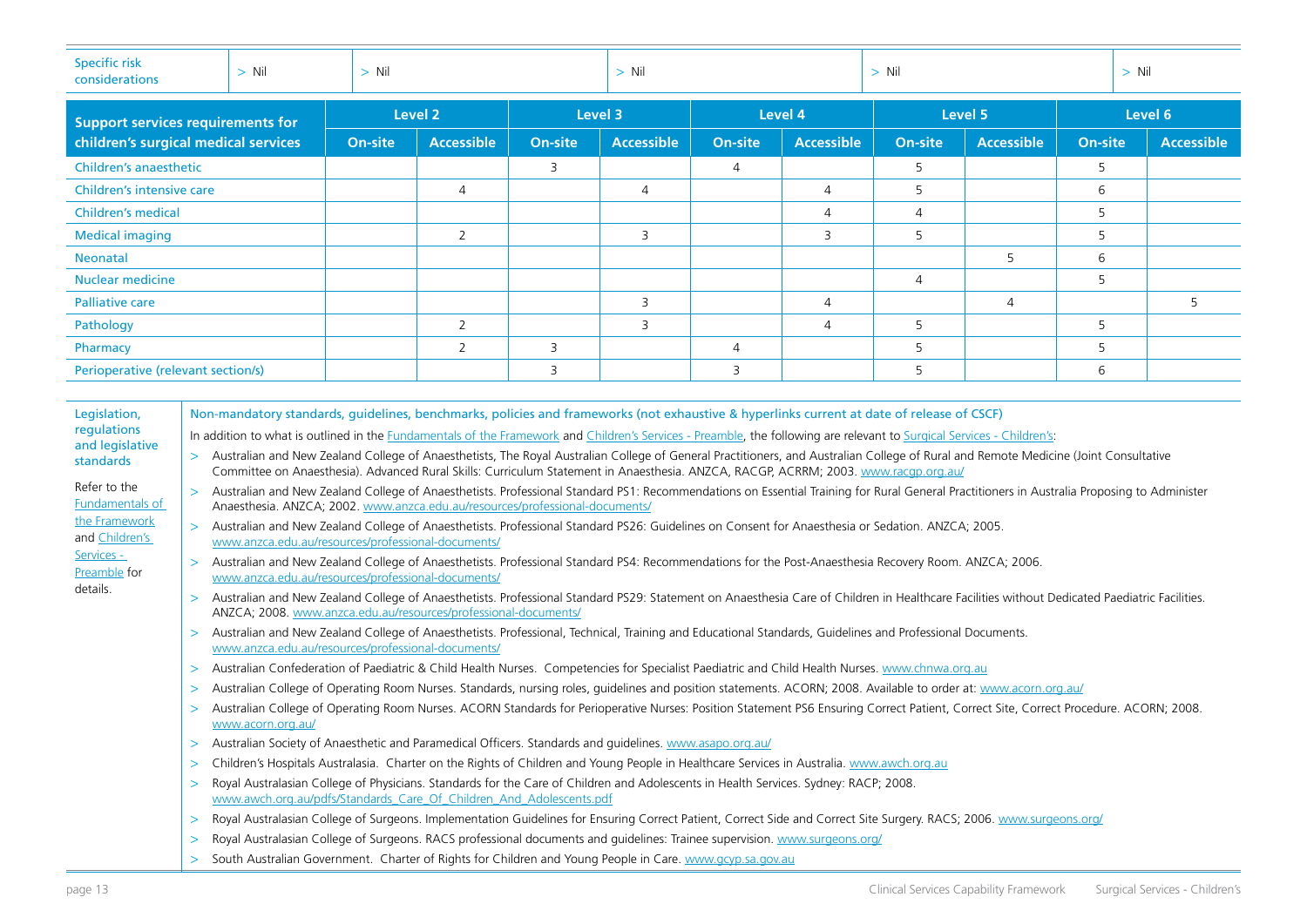| <b>Specific risk</b><br>considerations                                                                                                                                                                                                                                                                        | $>$ Nil                                                                                                                                                                                                                                                                                                                                                                                                                                                                                                                                                                                                                                                                                                                                                                                                                                                                                                                                                                                                                                                                                                                                                                                                                                                                                                                                                                                                                                                                                                                                                                                                                                                                                                                                                                                                                                                                                                                                                                                                                                                                                                                                                                                                                                                                                                                                                                                                                                                                                                                                                                                                                                                                                                                                                                                                                                                                                                                                                                                                                                                                                                                                                                                                                                                                     | $>$ Nil            |                   |                | $>$ Nil           | $>$ Nil        |                   |                |                   | $>$ Nil        |  |                   |
|---------------------------------------------------------------------------------------------------------------------------------------------------------------------------------------------------------------------------------------------------------------------------------------------------------------|-----------------------------------------------------------------------------------------------------------------------------------------------------------------------------------------------------------------------------------------------------------------------------------------------------------------------------------------------------------------------------------------------------------------------------------------------------------------------------------------------------------------------------------------------------------------------------------------------------------------------------------------------------------------------------------------------------------------------------------------------------------------------------------------------------------------------------------------------------------------------------------------------------------------------------------------------------------------------------------------------------------------------------------------------------------------------------------------------------------------------------------------------------------------------------------------------------------------------------------------------------------------------------------------------------------------------------------------------------------------------------------------------------------------------------------------------------------------------------------------------------------------------------------------------------------------------------------------------------------------------------------------------------------------------------------------------------------------------------------------------------------------------------------------------------------------------------------------------------------------------------------------------------------------------------------------------------------------------------------------------------------------------------------------------------------------------------------------------------------------------------------------------------------------------------------------------------------------------------------------------------------------------------------------------------------------------------------------------------------------------------------------------------------------------------------------------------------------------------------------------------------------------------------------------------------------------------------------------------------------------------------------------------------------------------------------------------------------------------------------------------------------------------------------------------------------------------------------------------------------------------------------------------------------------------------------------------------------------------------------------------------------------------------------------------------------------------------------------------------------------------------------------------------------------------------------------------------------------------------------------------------------------------|--------------------|-------------------|----------------|-------------------|----------------|-------------------|----------------|-------------------|----------------|--|-------------------|
| <b>Support services requirements for</b>                                                                                                                                                                                                                                                                      |                                                                                                                                                                                                                                                                                                                                                                                                                                                                                                                                                                                                                                                                                                                                                                                                                                                                                                                                                                                                                                                                                                                                                                                                                                                                                                                                                                                                                                                                                                                                                                                                                                                                                                                                                                                                                                                                                                                                                                                                                                                                                                                                                                                                                                                                                                                                                                                                                                                                                                                                                                                                                                                                                                                                                                                                                                                                                                                                                                                                                                                                                                                                                                                                                                                                             | Level <sub>2</sub> |                   | Level 3        |                   | Level 4        |                   |                | Level 5           | Level 6        |  |                   |
| children's surgical medical services                                                                                                                                                                                                                                                                          |                                                                                                                                                                                                                                                                                                                                                                                                                                                                                                                                                                                                                                                                                                                                                                                                                                                                                                                                                                                                                                                                                                                                                                                                                                                                                                                                                                                                                                                                                                                                                                                                                                                                                                                                                                                                                                                                                                                                                                                                                                                                                                                                                                                                                                                                                                                                                                                                                                                                                                                                                                                                                                                                                                                                                                                                                                                                                                                                                                                                                                                                                                                                                                                                                                                                             | On-site            | <b>Accessible</b> | <b>On-site</b> | <b>Accessible</b> | <b>On-site</b> | <b>Accessible</b> | <b>On-site</b> | <b>Accessible</b> | <b>On-site</b> |  | <b>Accessible</b> |
| <b>Children's anaesthetic</b>                                                                                                                                                                                                                                                                                 |                                                                                                                                                                                                                                                                                                                                                                                                                                                                                                                                                                                                                                                                                                                                                                                                                                                                                                                                                                                                                                                                                                                                                                                                                                                                                                                                                                                                                                                                                                                                                                                                                                                                                                                                                                                                                                                                                                                                                                                                                                                                                                                                                                                                                                                                                                                                                                                                                                                                                                                                                                                                                                                                                                                                                                                                                                                                                                                                                                                                                                                                                                                                                                                                                                                                             |                    |                   | 3              |                   | $\overline{4}$ |                   | 5              |                   | 5              |  |                   |
| Children's intensive care                                                                                                                                                                                                                                                                                     |                                                                                                                                                                                                                                                                                                                                                                                                                                                                                                                                                                                                                                                                                                                                                                                                                                                                                                                                                                                                                                                                                                                                                                                                                                                                                                                                                                                                                                                                                                                                                                                                                                                                                                                                                                                                                                                                                                                                                                                                                                                                                                                                                                                                                                                                                                                                                                                                                                                                                                                                                                                                                                                                                                                                                                                                                                                                                                                                                                                                                                                                                                                                                                                                                                                                             |                    | $\overline{4}$    |                | $\overline{4}$    |                | $\overline{4}$    | 5              |                   | 6              |  |                   |
| <b>Children's medical</b>                                                                                                                                                                                                                                                                                     |                                                                                                                                                                                                                                                                                                                                                                                                                                                                                                                                                                                                                                                                                                                                                                                                                                                                                                                                                                                                                                                                                                                                                                                                                                                                                                                                                                                                                                                                                                                                                                                                                                                                                                                                                                                                                                                                                                                                                                                                                                                                                                                                                                                                                                                                                                                                                                                                                                                                                                                                                                                                                                                                                                                                                                                                                                                                                                                                                                                                                                                                                                                                                                                                                                                                             |                    |                   |                |                   |                | $\overline{4}$    | $\overline{4}$ |                   | 5              |  |                   |
| <b>Medical imaging</b>                                                                                                                                                                                                                                                                                        |                                                                                                                                                                                                                                                                                                                                                                                                                                                                                                                                                                                                                                                                                                                                                                                                                                                                                                                                                                                                                                                                                                                                                                                                                                                                                                                                                                                                                                                                                                                                                                                                                                                                                                                                                                                                                                                                                                                                                                                                                                                                                                                                                                                                                                                                                                                                                                                                                                                                                                                                                                                                                                                                                                                                                                                                                                                                                                                                                                                                                                                                                                                                                                                                                                                                             |                    | 2                 |                | 3                 |                | 3                 | 5              |                   | 5              |  |                   |
| <b>Neonatal</b>                                                                                                                                                                                                                                                                                               |                                                                                                                                                                                                                                                                                                                                                                                                                                                                                                                                                                                                                                                                                                                                                                                                                                                                                                                                                                                                                                                                                                                                                                                                                                                                                                                                                                                                                                                                                                                                                                                                                                                                                                                                                                                                                                                                                                                                                                                                                                                                                                                                                                                                                                                                                                                                                                                                                                                                                                                                                                                                                                                                                                                                                                                                                                                                                                                                                                                                                                                                                                                                                                                                                                                                             |                    |                   |                |                   |                |                   |                | 5                 | 6              |  |                   |
| <b>Nuclear medicine</b>                                                                                                                                                                                                                                                                                       |                                                                                                                                                                                                                                                                                                                                                                                                                                                                                                                                                                                                                                                                                                                                                                                                                                                                                                                                                                                                                                                                                                                                                                                                                                                                                                                                                                                                                                                                                                                                                                                                                                                                                                                                                                                                                                                                                                                                                                                                                                                                                                                                                                                                                                                                                                                                                                                                                                                                                                                                                                                                                                                                                                                                                                                                                                                                                                                                                                                                                                                                                                                                                                                                                                                                             |                    |                   |                |                   |                |                   | $\overline{4}$ |                   | 5              |  |                   |
| <b>Palliative care</b>                                                                                                                                                                                                                                                                                        |                                                                                                                                                                                                                                                                                                                                                                                                                                                                                                                                                                                                                                                                                                                                                                                                                                                                                                                                                                                                                                                                                                                                                                                                                                                                                                                                                                                                                                                                                                                                                                                                                                                                                                                                                                                                                                                                                                                                                                                                                                                                                                                                                                                                                                                                                                                                                                                                                                                                                                                                                                                                                                                                                                                                                                                                                                                                                                                                                                                                                                                                                                                                                                                                                                                                             |                    |                   |                | 3                 |                | $\overline{4}$    |                | 4                 |                |  | 5                 |
| Pathology                                                                                                                                                                                                                                                                                                     |                                                                                                                                                                                                                                                                                                                                                                                                                                                                                                                                                                                                                                                                                                                                                                                                                                                                                                                                                                                                                                                                                                                                                                                                                                                                                                                                                                                                                                                                                                                                                                                                                                                                                                                                                                                                                                                                                                                                                                                                                                                                                                                                                                                                                                                                                                                                                                                                                                                                                                                                                                                                                                                                                                                                                                                                                                                                                                                                                                                                                                                                                                                                                                                                                                                                             |                    | $\overline{2}$    |                | 3                 |                | $\overline{4}$    | 5              |                   | 5              |  |                   |
| Pharmacy                                                                                                                                                                                                                                                                                                      |                                                                                                                                                                                                                                                                                                                                                                                                                                                                                                                                                                                                                                                                                                                                                                                                                                                                                                                                                                                                                                                                                                                                                                                                                                                                                                                                                                                                                                                                                                                                                                                                                                                                                                                                                                                                                                                                                                                                                                                                                                                                                                                                                                                                                                                                                                                                                                                                                                                                                                                                                                                                                                                                                                                                                                                                                                                                                                                                                                                                                                                                                                                                                                                                                                                                             |                    | 2                 | 3              |                   | $\overline{4}$ |                   | 5              |                   | 5              |  |                   |
| Perioperative (relevant section/s)                                                                                                                                                                                                                                                                            |                                                                                                                                                                                                                                                                                                                                                                                                                                                                                                                                                                                                                                                                                                                                                                                                                                                                                                                                                                                                                                                                                                                                                                                                                                                                                                                                                                                                                                                                                                                                                                                                                                                                                                                                                                                                                                                                                                                                                                                                                                                                                                                                                                                                                                                                                                                                                                                                                                                                                                                                                                                                                                                                                                                                                                                                                                                                                                                                                                                                                                                                                                                                                                                                                                                                             |                    |                   | 3              |                   | 3              |                   | 5              |                   | 6              |  |                   |
| Legislation,<br>regulations<br>and legislative<br>$\geq$<br>standards<br>Refer to the<br>$\geq$<br>Fundamentals of<br>the Framework<br>$\geq$<br>and Children's<br>Services -<br>$\geq$<br>Preamble for<br>details.<br>$\geq$<br>$\geq$<br>$\geq$<br>$\geq$<br>$\geq$<br>$\geq$<br>$\geq$<br>$\geq$<br>><br>⋗ | Non-mandatory standards, quidelines, benchmarks, policies and frameworks (not exhaustive & hyperlinks current at date of release of CSCF)<br>In addition to what is outlined in the Fundamentals of the Framework and Children's Services - Preamble, the following are relevant to Surgical Services - Children's:<br>Australian and New Zealand College of Anaesthetists, The Royal Australian College of General Practitioners, and Australian College of Rural and Remote Medicine (Joint Consultative<br>Committee on Anaesthesia). Advanced Rural Skills: Curriculum Statement in Anaesthesia. ANZCA, RACGP, ACRRM; 2003. www.racqp.org.au/<br>Australian and New Zealand College of Anaesthetists. Professional Standard PS1: Recommendations on Essential Training for Rural General Practitioners in Australia Proposing to Administer<br>Anaesthesia. ANZCA; 2002. www.anzca.edu.au/resources/professional-documents/<br>Australian and New Zealand College of Anaesthetists. Professional Standard PS26: Guidelines on Consent for Anaesthesia or Sedation. ANZCA; 2005.<br>www.anzca.edu.au/resources/professional-documents/<br>Australian and New Zealand College of Anaesthetists. Professional Standard PS4: Recommendations for the Post-Anaesthesia Recovery Room. ANZCA; 2006.<br>www.anzca.edu.au/resources/professional-documents/<br>Australian and New Zealand College of Anaesthetists. Professional Standard PS29: Statement on Anaesthesia Care of Children in Healthcare Facilities without Dedicated Paediatric Facilities.<br>ANZCA; 2008. www.anzca.edu.au/resources/professional-documents/<br>Australian and New Zealand College of Anaesthetists. Professional, Technical, Training and Educational Standards, Guidelines and Professional Documents.<br>www.anzca.edu.au/resources/professional-documents/<br>Australian Confederation of Paediatric & Child Health Nurses. Competencies for Specialist Paediatric and Child Health Nurses. www.chnwa.org.au<br>Australian College of Operating Room Nurses. Standards, nursing roles, guidelines and position statements. ACORN; 2008. Available to order at: www.acorn.org.au/<br>Australian College of Operating Room Nurses. ACORN Standards for Perioperative Nurses: Position Statement PS6 Ensuring Correct Patient, Correct Site, Correct Procedure. ACORN; 2008.<br>www.acorn.org.au/<br>> Australian Society of Anaesthetic and Paramedical Officers. Standards and guidelines. www.asapo.org.au/<br>Children's Hospitals Australasia. Charter on the Rights of Children and Young People in Healthcare Services in Australia. www.awch.org.au<br>Royal Australasian College of Physicians. Standards for the Care of Children and Adolescents in Health Services. Sydney: RACP; 2008.<br>www.awch.org.au/pdfs/Standards_Care_Of_Children_And_Adolescents.pdf<br>Royal Australasian College of Surgeons. Implementation Guidelines for Ensuring Correct Patient, Correct Side and Correct Site Surgery. RACS; 2006. www.surgeons.org/<br>Royal Australasian College of Surgeons. RACS professional documents and guidelines: Trainee supervision. www.surgeons.org/<br>South Australian Government. Charter of Rights for Children and Young People in Care. www.gcyp.sa.gov.au |                    |                   |                |                   |                |                   |                |                   |                |  |                   |